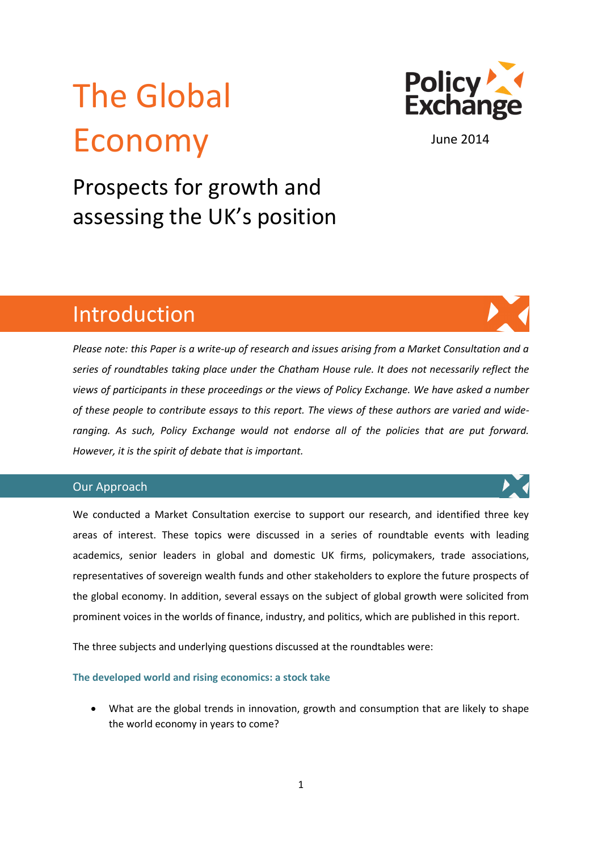# The Global Economy



June 2014

Prospects for growth and assessing the UK's position

# Introduction

*Please note: this Paper is a write-up of research and issues arising from a Market Consultation and a series of roundtables taking place under the Chatham House rule. It does not necessarily reflect the views of participants in these proceedings or the views of Policy Exchange. We have asked a number of these people to contribute essays to this report. The views of these authors are varied and wideranging. As such, Policy Exchange would not endorse all of the policies that are put forward. However, it is the spirit of debate that is important.* 

# Our Approach

We conducted a Market Consultation exercise to support our research, and identified three key areas of interest. These topics were discussed in a series of roundtable events with leading academics, senior leaders in global and domestic UK firms, policymakers, trade associations, representatives of sovereign wealth funds and other stakeholders to explore the future prospects of the global economy. In addition, several essays on the subject of global growth were solicited from prominent voices in the worlds of finance, industry, and politics, which are published in this report.

The three subjects and underlying questions discussed at the roundtables were:

**The developed world and rising economics: a stock take**

 What are the global trends in innovation, growth and consumption that are likely to shape the world economy in years to come?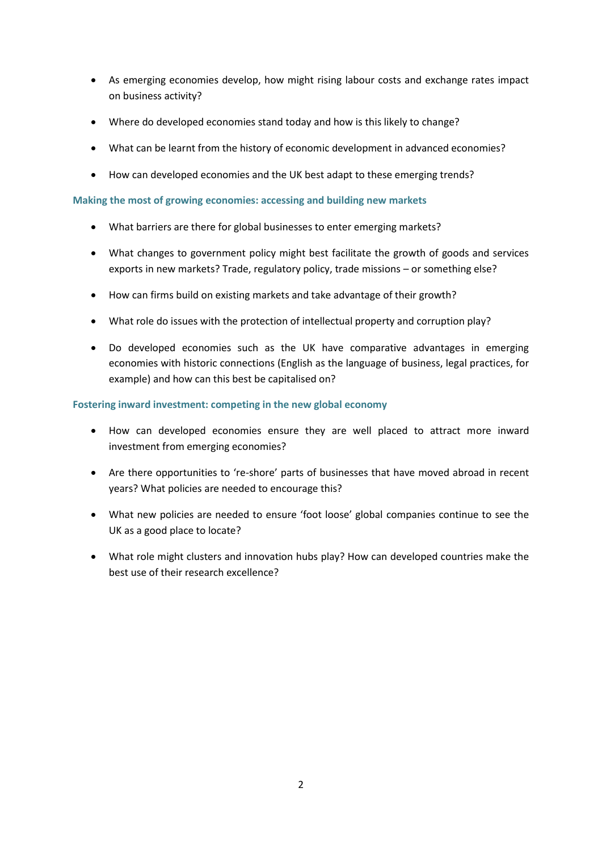- As emerging economies develop, how might rising labour costs and exchange rates impact on business activity?
- Where do developed economies stand today and how is this likely to change?
- What can be learnt from the history of economic development in advanced economies?
- How can developed economies and the UK best adapt to these emerging trends?

# **Making the most of growing economies: accessing and building new markets**

- What barriers are there for global businesses to enter emerging markets?
- What changes to government policy might best facilitate the growth of goods and services exports in new markets? Trade, regulatory policy, trade missions – or something else?
- How can firms build on existing markets and take advantage of their growth?
- What role do issues with the protection of intellectual property and corruption play?
- Do developed economies such as the UK have comparative advantages in emerging economies with historic connections (English as the language of business, legal practices, for example) and how can this best be capitalised on?

# **Fostering inward investment: competing in the new global economy**

- How can developed economies ensure they are well placed to attract more inward investment from emerging economies?
- Are there opportunities to 're-shore' parts of businesses that have moved abroad in recent years? What policies are needed to encourage this?
- What new policies are needed to ensure 'foot loose' global companies continue to see the UK as a good place to locate?
- What role might clusters and innovation hubs play? How can developed countries make the best use of their research excellence?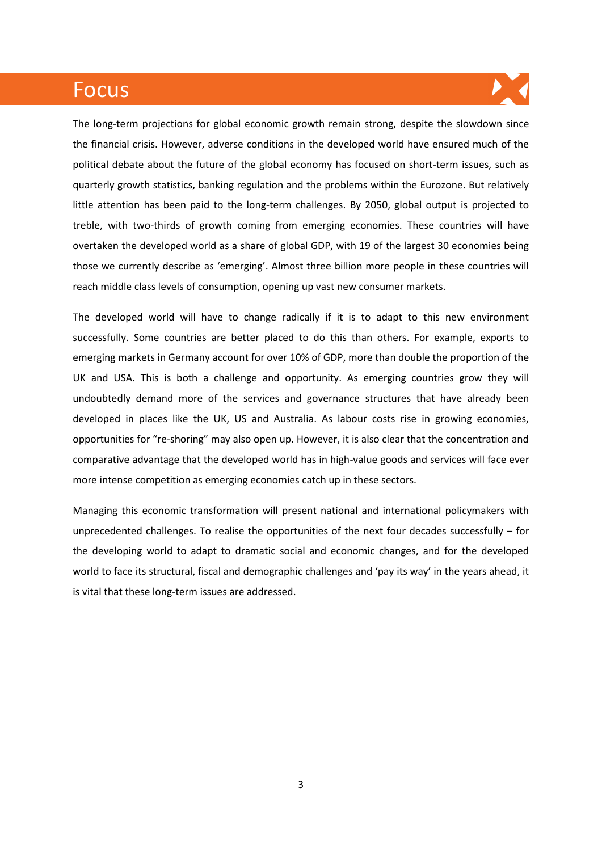# Focus



The long-term projections for global economic growth remain strong, despite the slowdown since the financial crisis. However, adverse conditions in the developed world have ensured much of the political debate about the future of the global economy has focused on short-term issues, such as quarterly growth statistics, banking regulation and the problems within the Eurozone. But relatively little attention has been paid to the long-term challenges. By 2050, global output is projected to treble, with two-thirds of growth coming from emerging economies. These countries will have overtaken the developed world as a share of global GDP, with 19 of the largest 30 economies being those we currently describe as 'emerging'. Almost three billion more people in these countries will reach middle class levels of consumption, opening up vast new consumer markets.

The developed world will have to change radically if it is to adapt to this new environment successfully. Some countries are better placed to do this than others. For example, exports to emerging markets in Germany account for over 10% of GDP, more than double the proportion of the UK and USA. This is both a challenge and opportunity. As emerging countries grow they will undoubtedly demand more of the services and governance structures that have already been developed in places like the UK, US and Australia. As labour costs rise in growing economies, opportunities for "re-shoring" may also open up. However, it is also clear that the concentration and comparative advantage that the developed world has in high-value goods and services will face ever more intense competition as emerging economies catch up in these sectors.

Managing this economic transformation will present national and international policymakers with unprecedented challenges. To realise the opportunities of the next four decades successfully – for the developing world to adapt to dramatic social and economic changes, and for the developed world to face its structural, fiscal and demographic challenges and 'pay its way' in the years ahead, it is vital that these long-term issues are addressed.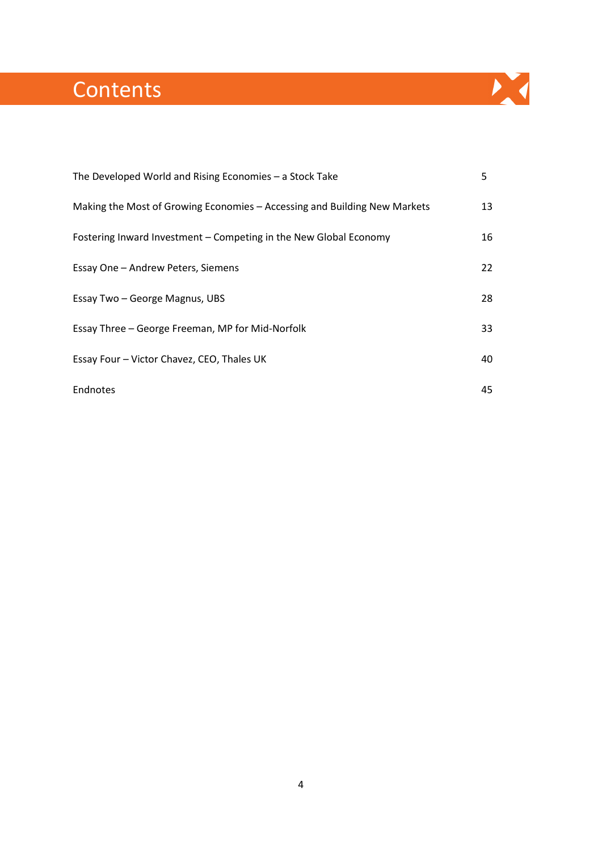# **Contents**

| The Developed World and Rising Economies - a Stock Take                   | 5  |
|---------------------------------------------------------------------------|----|
| Making the Most of Growing Economies - Accessing and Building New Markets | 13 |
| Fostering Inward Investment - Competing in the New Global Economy         | 16 |
| Essay One - Andrew Peters, Siemens                                        | 22 |
| Essay Two - George Magnus, UBS                                            | 28 |
| Essay Three - George Freeman, MP for Mid-Norfolk                          | 33 |
| Essay Four - Victor Chavez, CEO, Thales UK                                | 40 |
| Endnotes                                                                  | 45 |

X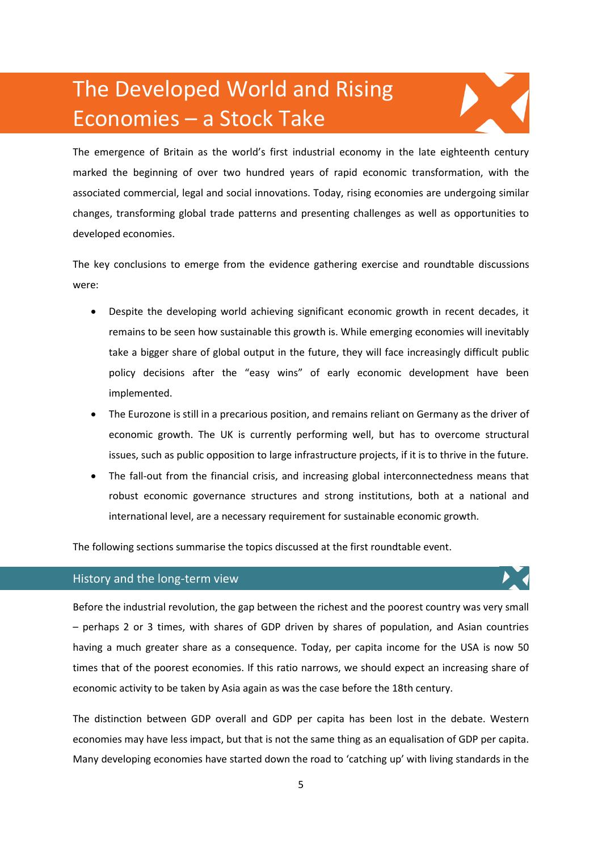# The Developed World and Rising Economies – a Stock Take



The emergence of Britain as the world's first industrial economy in the late eighteenth century marked the beginning of over two hundred years of rapid economic transformation, with the associated commercial, legal and social innovations. Today, rising economies are undergoing similar changes, transforming global trade patterns and presenting challenges as well as opportunities to developed economies.

The key conclusions to emerge from the evidence gathering exercise and roundtable discussions were:

- Despite the developing world achieving significant economic growth in recent decades, it remains to be seen how sustainable this growth is. While emerging economies will inevitably take a bigger share of global output in the future, they will face increasingly difficult public policy decisions after the "easy wins" of early economic development have been implemented.
- The Eurozone is still in a precarious position, and remains reliant on Germany as the driver of economic growth. The UK is currently performing well, but has to overcome structural issues, such as public opposition to large infrastructure projects, if it is to thrive in the future.
- The fall-out from the financial crisis, and increasing global interconnectedness means that robust economic governance structures and strong institutions, both at a national and international level, are a necessary requirement for sustainable economic growth.

The following sections summarise the topics discussed at the first roundtable event.

# History and the long-term view

Before the industrial revolution, the gap between the richest and the poorest country was very small – perhaps 2 or 3 times, with shares of GDP driven by shares of population, and Asian countries having a much greater share as a consequence. Today, per capita income for the USA is now 50 times that of the poorest economies. If this ratio narrows, we should expect an increasing share of economic activity to be taken by Asia again as was the case before the 18th century.

The distinction between GDP overall and GDP per capita has been lost in the debate. Western economies may have less impact, but that is not the same thing as an equalisation of GDP per capita. Many developing economies have started down the road to 'catching up' with living standards in the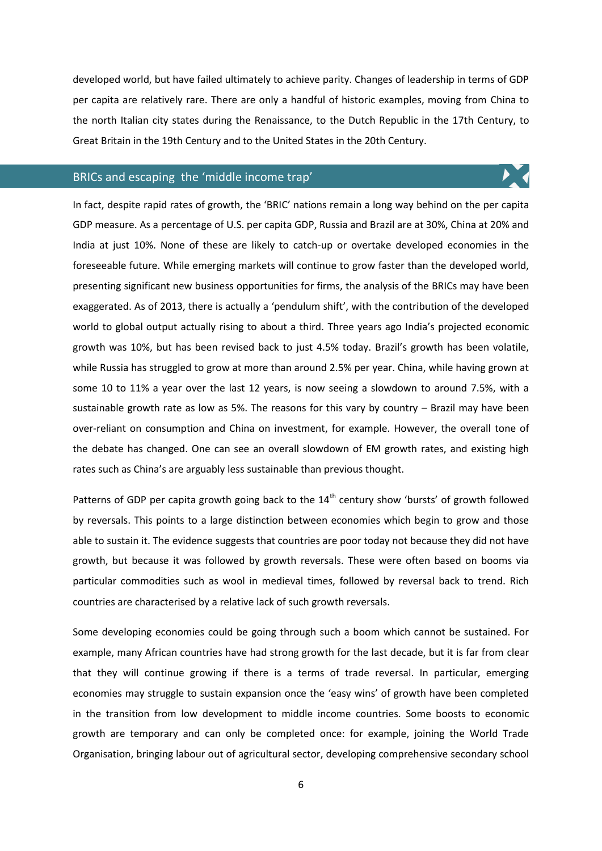developed world, but have failed ultimately to achieve parity. Changes of leadership in terms of GDP per capita are relatively rare. There are only a handful of historic examples, moving from China to the north Italian city states during the Renaissance, to the Dutch Republic in the 17th Century, to Great Britain in the 19th Century and to the United States in the 20th Century.

 $\blacktriangleright$  (

# BRICs and escaping the 'middle income trap'

In fact, despite rapid rates of growth, the 'BRIC' nations remain a long way behind on the per capita GDP measure. As a percentage of U.S. per capita GDP, Russia and Brazil are at 30%, China at 20% and India at just 10%. None of these are likely to catch-up or overtake developed economies in the foreseeable future. While emerging markets will continue to grow faster than the developed world, presenting significant new business opportunities for firms, the analysis of the BRICs may have been exaggerated. As of 2013, there is actually a 'pendulum shift', with the contribution of the developed world to global output actually rising to about a third. Three years ago India's projected economic growth was 10%, but has been revised back to just 4.5% today. Brazil's growth has been volatile, while Russia has struggled to grow at more than around 2.5% per year. China, while having grown at some 10 to 11% a year over the last 12 years, is now seeing a slowdown to around 7.5%, with a sustainable growth rate as low as 5%. The reasons for this vary by country – Brazil may have been over-reliant on consumption and China on investment, for example. However, the overall tone of the debate has changed. One can see an overall slowdown of EM growth rates, and existing high rates such as China's are arguably less sustainable than previous thought.

Patterns of GDP per capita growth going back to the  $14<sup>th</sup>$  century show 'bursts' of growth followed by reversals. This points to a large distinction between economies which begin to grow and those able to sustain it. The evidence suggests that countries are poor today not because they did not have growth, but because it was followed by growth reversals. These were often based on booms via particular commodities such as wool in medieval times, followed by reversal back to trend. Rich countries are characterised by a relative lack of such growth reversals.

Some developing economies could be going through such a boom which cannot be sustained. For example, many African countries have had strong growth for the last decade, but it is far from clear that they will continue growing if there is a terms of trade reversal. In particular, emerging economies may struggle to sustain expansion once the 'easy wins' of growth have been completed in the transition from low development to middle income countries. Some boosts to economic growth are temporary and can only be completed once: for example, joining the World Trade Organisation, bringing labour out of agricultural sector, developing comprehensive secondary school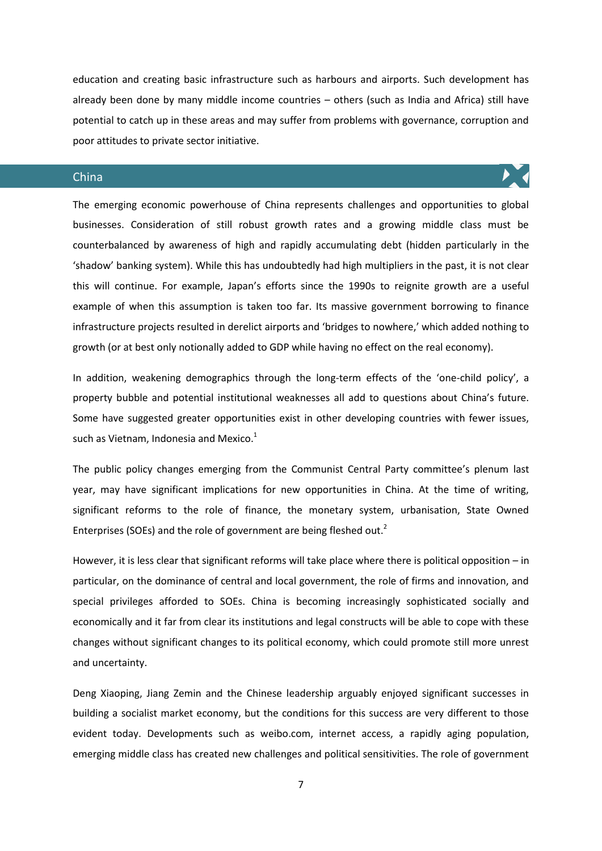education and creating basic infrastructure such as harbours and airports. Such development has already been done by many middle income countries – others (such as India and Africa) still have potential to catch up in these areas and may suffer from problems with governance, corruption and poor attitudes to private sector initiative.

# China

The emerging economic powerhouse of China represents challenges and opportunities to global businesses. Consideration of still robust growth rates and a growing middle class must be counterbalanced by awareness of high and rapidly accumulating debt (hidden particularly in the 'shadow' banking system). While this has undoubtedly had high multipliers in the past, it is not clear this will continue. For example, Japan's efforts since the 1990s to reignite growth are a useful example of when this assumption is taken too far. Its massive government borrowing to finance infrastructure projects resulted in derelict airports and 'bridges to nowhere,' which added nothing to growth (or at best only notionally added to GDP while having no effect on the real economy).

In addition, weakening demographics through the long-term effects of the 'one-child policy', a property bubble and potential institutional weaknesses all add to questions about China's future. Some have suggested greater opportunities exist in other developing countries with fewer issues, such as Vietnam, Indonesia and Mexico.<sup>1</sup>

The public policy changes emerging from the Communist Central Party committee's plenum last year, may have significant implications for new opportunities in China. At the time of writing, significant reforms to the role of finance, the monetary system, urbanisation, State Owned Enterprises (SOEs) and the role of government are being fleshed out.<sup>2</sup>

However, it is less clear that significant reforms will take place where there is political opposition – in particular, on the dominance of central and local government, the role of firms and innovation, and special privileges afforded to SOEs. China is becoming increasingly sophisticated socially and economically and it far from clear its institutions and legal constructs will be able to cope with these changes without significant changes to its political economy, which could promote still more unrest and uncertainty.

Deng Xiaoping, Jiang Zemin and the Chinese leadership arguably enjoyed significant successes in building a socialist market economy, but the conditions for this success are very different to those evident today. Developments such as weibo.com, internet access, a rapidly aging population, emerging middle class has created new challenges and political sensitivities. The role of government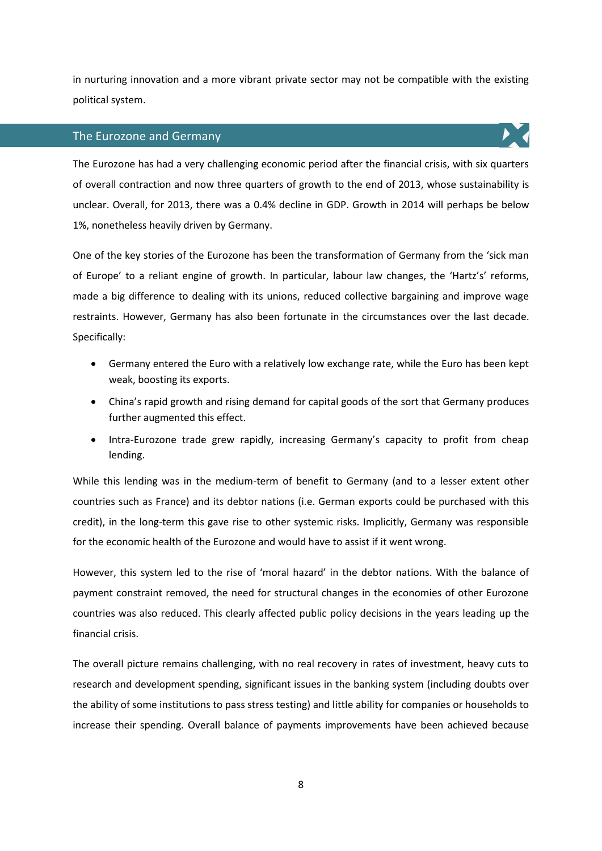in nurturing innovation and a more vibrant private sector may not be compatible with the existing political system.

# The Eurozone and Germany

The Eurozone has had a very challenging economic period after the financial crisis, with six quarters of overall contraction and now three quarters of growth to the end of 2013, whose sustainability is unclear. Overall, for 2013, there was a 0.4% decline in GDP. Growth in 2014 will perhaps be below 1%, nonetheless heavily driven by Germany.

One of the key stories of the Eurozone has been the transformation of Germany from the 'sick man of Europe' to a reliant engine of growth. In particular, labour law changes, the 'Hartz's' reforms, made a big difference to dealing with its unions, reduced collective bargaining and improve wage restraints. However, Germany has also been fortunate in the circumstances over the last decade. Specifically:

- Germany entered the Euro with a relatively low exchange rate, while the Euro has been kept weak, boosting its exports.
- China's rapid growth and rising demand for capital goods of the sort that Germany produces further augmented this effect.
- Intra-Eurozone trade grew rapidly, increasing Germany's capacity to profit from cheap lending.

While this lending was in the medium-term of benefit to Germany (and to a lesser extent other countries such as France) and its debtor nations (i.e. German exports could be purchased with this credit), in the long-term this gave rise to other systemic risks. Implicitly, Germany was responsible for the economic health of the Eurozone and would have to assist if it went wrong.

However, this system led to the rise of 'moral hazard' in the debtor nations. With the balance of payment constraint removed, the need for structural changes in the economies of other Eurozone countries was also reduced. This clearly affected public policy decisions in the years leading up the financial crisis.

The overall picture remains challenging, with no real recovery in rates of investment, heavy cuts to research and development spending, significant issues in the banking system (including doubts over the ability of some institutions to pass stress testing) and little ability for companies or households to increase their spending. Overall balance of payments improvements have been achieved because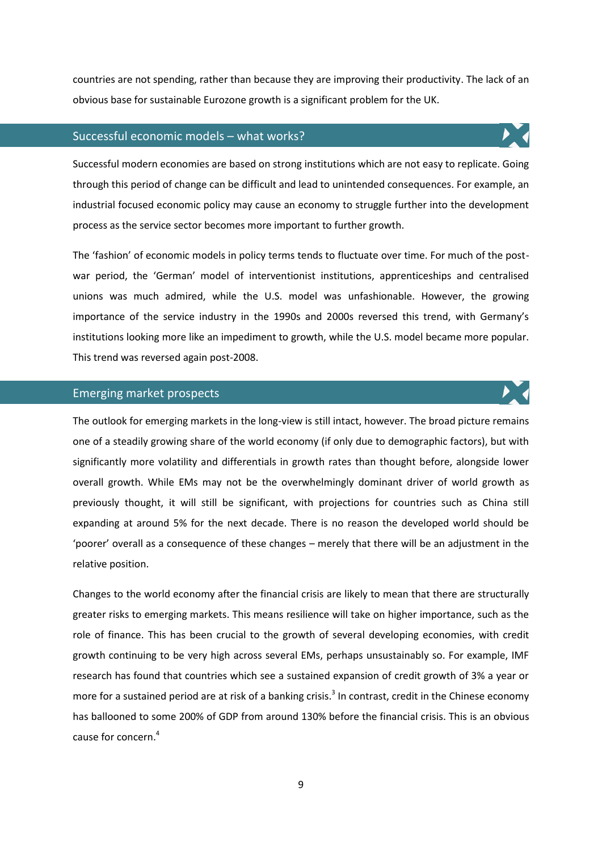countries are not spending, rather than because they are improving their productivity. The lack of an obvious base for sustainable Eurozone growth is a significant problem for the UK.

### Successful economic models – what works?

Successful modern economies are based on strong institutions which are not easy to replicate. Going through this period of change can be difficult and lead to unintended consequences. For example, an industrial focused economic policy may cause an economy to struggle further into the development process as the service sector becomes more important to further growth.

The 'fashion' of economic models in policy terms tends to fluctuate over time. For much of the postwar period, the 'German' model of interventionist institutions, apprenticeships and centralised unions was much admired, while the U.S. model was unfashionable. However, the growing importance of the service industry in the 1990s and 2000s reversed this trend, with Germany's institutions looking more like an impediment to growth, while the U.S. model became more popular. This trend was reversed again post-2008.

#### Emerging market prospects

The outlook for emerging markets in the long-view is still intact, however. The broad picture remains one of a steadily growing share of the world economy (if only due to demographic factors), but with significantly more volatility and differentials in growth rates than thought before, alongside lower overall growth. While EMs may not be the overwhelmingly dominant driver of world growth as previously thought, it will still be significant, with projections for countries such as China still expanding at around 5% for the next decade. There is no reason the developed world should be 'poorer' overall as a consequence of these changes – merely that there will be an adjustment in the relative position.

Changes to the world economy after the financial crisis are likely to mean that there are structurally greater risks to emerging markets. This means resilience will take on higher importance, such as the role of finance. This has been crucial to the growth of several developing economies, with credit growth continuing to be very high across several EMs, perhaps unsustainably so. For example, IMF research has found that countries which see a sustained expansion of credit growth of 3% a year or more for a sustained period are at risk of a banking crisis.<sup>3</sup> In contrast, credit in the Chinese economy has ballooned to some 200% of GDP from around 130% before the financial crisis. This is an obvious cause for concern. 4



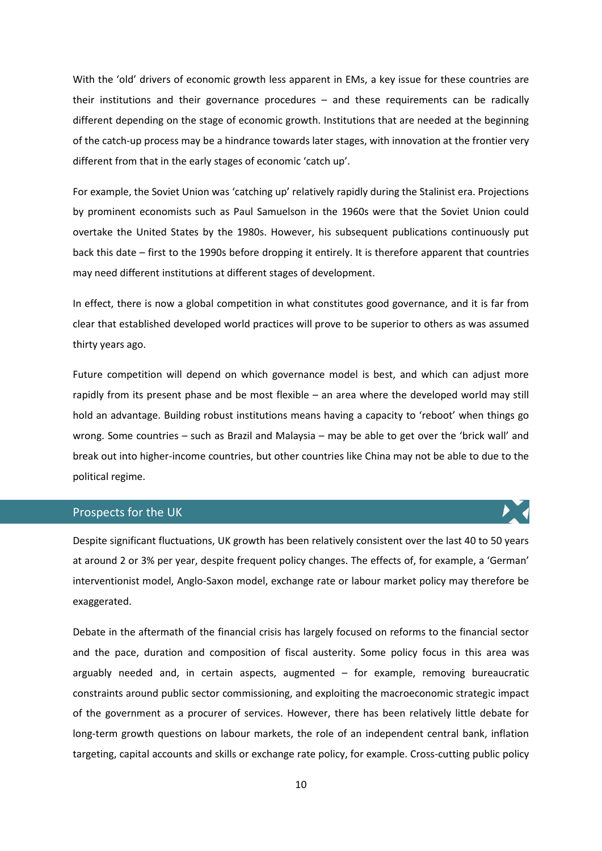With the 'old' drivers of economic growth less apparent in EMs, a key issue for these countries are their institutions and their governance procedures – and these requirements can be radically different depending on the stage of economic growth. Institutions that are needed at the beginning of the catch-up process may be a hindrance towards later stages, with innovation at the frontier very different from that in the early stages of economic 'catch up'.

For example, the Soviet Union was 'catching up' relatively rapidly during the Stalinist era. Projections by prominent economists such as Paul Samuelson in the 1960s were that the Soviet Union could overtake the United States by the 1980s. However, his subsequent publications continuously put back this date – first to the 1990s before dropping it entirely. It is therefore apparent that countries may need different institutions at different stages of development.

In effect, there is now a global competition in what constitutes good governance, and it is far from clear that established developed world practices will prove to be superior to others as was assumed thirty years ago.

Future competition will depend on which governance model is best, and which can adjust more rapidly from its present phase and be most flexible – an area where the developed world may still hold an advantage. Building robust institutions means having a capacity to 'reboot' when things go wrong. Some countries – such as Brazil and Malaysia – may be able to get over the 'brick wall' and break out into higher-income countries, but other countries like China may not be able to due to the political regime.

# Prospects for the UK

Despite significant fluctuations, UK growth has been relatively consistent over the last 40 to 50 years at around 2 or 3% per year, despite frequent policy changes. The effects of, for example, a 'German' interventionist model, Anglo-Saxon model, exchange rate or labour market policy may therefore be exaggerated.

Debate in the aftermath of the financial crisis has largely focused on reforms to the financial sector and the pace, duration and composition of fiscal austerity. Some policy focus in this area was arguably needed and, in certain aspects, augmented – for example, removing bureaucratic constraints around public sector commissioning, and exploiting the macroeconomic strategic impact of the government as a procurer of services. However, there has been relatively little debate for long-term growth questions on labour markets, the role of an independent central bank, inflation targeting, capital accounts and skills or exchange rate policy, for example. Cross-cutting public policy

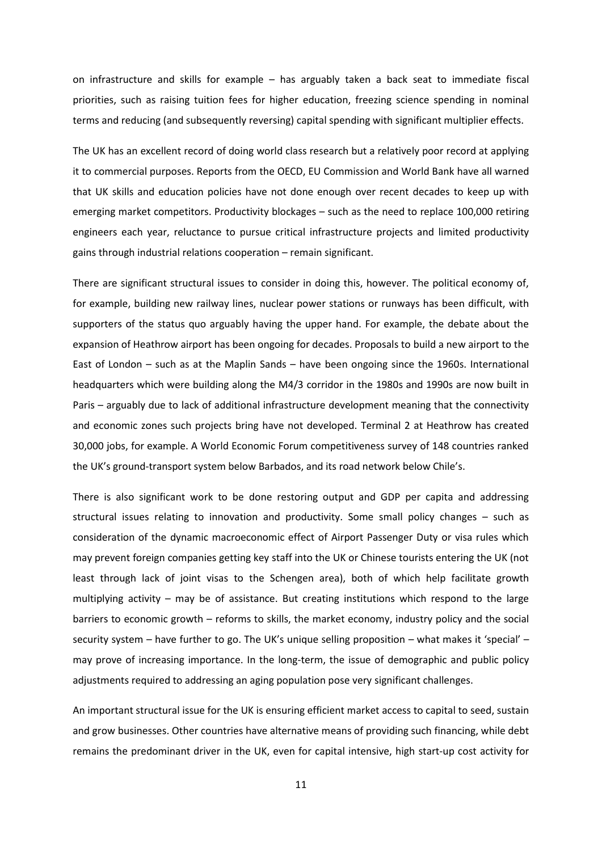on infrastructure and skills for example – has arguably taken a back seat to immediate fiscal priorities, such as raising tuition fees for higher education, freezing science spending in nominal terms and reducing (and subsequently reversing) capital spending with significant multiplier effects.

The UK has an excellent record of doing world class research but a relatively poor record at applying it to commercial purposes. Reports from the OECD, EU Commission and World Bank have all warned that UK skills and education policies have not done enough over recent decades to keep up with emerging market competitors. Productivity blockages – such as the need to replace 100,000 retiring engineers each year, reluctance to pursue critical infrastructure projects and limited productivity gains through industrial relations cooperation – remain significant.

There are significant structural issues to consider in doing this, however. The political economy of, for example, building new railway lines, nuclear power stations or runways has been difficult, with supporters of the status quo arguably having the upper hand. For example, the debate about the expansion of Heathrow airport has been ongoing for decades. Proposals to build a new airport to the East of London – such as at the Maplin Sands – have been ongoing since the 1960s. International headquarters which were building along the M4/3 corridor in the 1980s and 1990s are now built in Paris – arguably due to lack of additional infrastructure development meaning that the connectivity and economic zones such projects bring have not developed. Terminal 2 at Heathrow has created 30,000 jobs, for example. A World Economic Forum competitiveness survey of 148 countries ranked the UK's ground-transport system below Barbados, and its road network below Chile's.

There is also significant work to be done restoring output and GDP per capita and addressing structural issues relating to innovation and productivity. Some small policy changes – such as consideration of the dynamic macroeconomic effect of Airport Passenger Duty or visa rules which may prevent foreign companies getting key staff into the UK or Chinese tourists entering the UK (not least through lack of joint visas to the Schengen area), both of which help facilitate growth multiplying activity – may be of assistance. But creating institutions which respond to the large barriers to economic growth – reforms to skills, the market economy, industry policy and the social security system – have further to go. The UK's unique selling proposition – what makes it 'special' – may prove of increasing importance. In the long-term, the issue of demographic and public policy adjustments required to addressing an aging population pose very significant challenges.

An important structural issue for the UK is ensuring efficient market access to capital to seed, sustain and grow businesses. Other countries have alternative means of providing such financing, while debt remains the predominant driver in the UK, even for capital intensive, high start-up cost activity for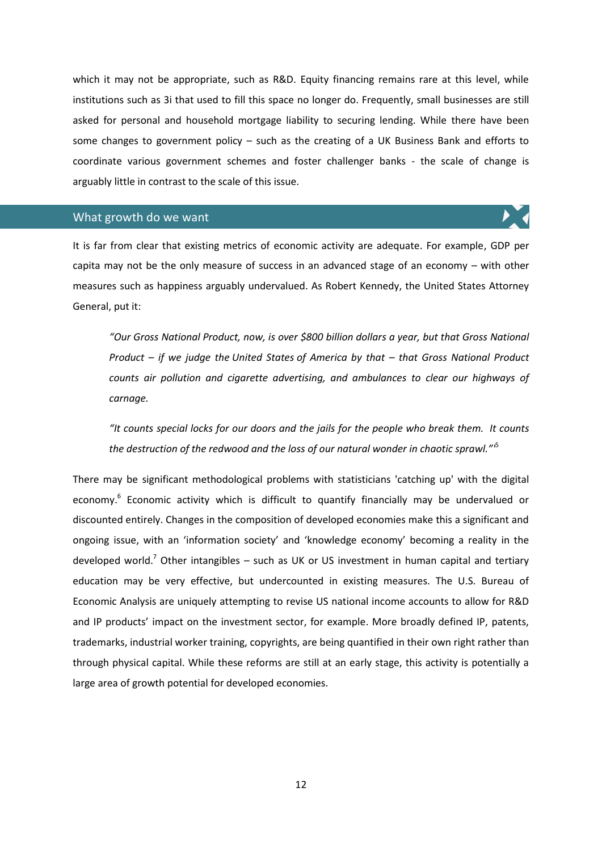which it may not be appropriate, such as R&D. Equity financing remains rare at this level, while institutions such as 3i that used to fill this space no longer do. Frequently, small businesses are still asked for personal and household mortgage liability to securing lending. While there have been some changes to government policy – such as the creating of a UK Business Bank and efforts to coordinate various government schemes and foster challenger banks - the scale of change is arguably little in contrast to the scale of this issue.

# What growth do we want

It is far from clear that existing metrics of economic activity are adequate. For example, GDP per capita may not be the only measure of success in an advanced stage of an economy – with other measures such as happiness arguably undervalued. As Robert Kennedy, the United States Attorney General, put it:

*"Our Gross National Product, now, is over \$800 billion dollars a year, but that Gross National Product – if we judge the United States of America by that – that Gross National Product counts air pollution and cigarette advertising, and ambulances to clear our highways of carnage.*

*"It counts special locks for our doors and the jails for the people who break them. It counts the destruction of the redwood and the loss of our natural wonder in chaotic sprawl."'*<sup>5</sup>

There may be significant methodological problems with statisticians 'catching up' with the digital economy.<sup>6</sup> Economic activity which is difficult to quantify financially may be undervalued or discounted entirely. Changes in the composition of developed economies make this a significant and ongoing issue, with an 'information society' and 'knowledge economy' becoming a reality in the developed world.<sup>7</sup> Other intangibles – such as UK or US investment in human capital and tertiary education may be very effective, but undercounted in existing measures. The U.S. Bureau of Economic Analysis are uniquely attempting to revise US national income accounts to allow for R&D and IP products' impact on the investment sector, for example. More broadly defined IP, patents, trademarks, industrial worker training, copyrights, are being quantified in their own right rather than through physical capital. While these reforms are still at an early stage, this activity is potentially a large area of growth potential for developed economies.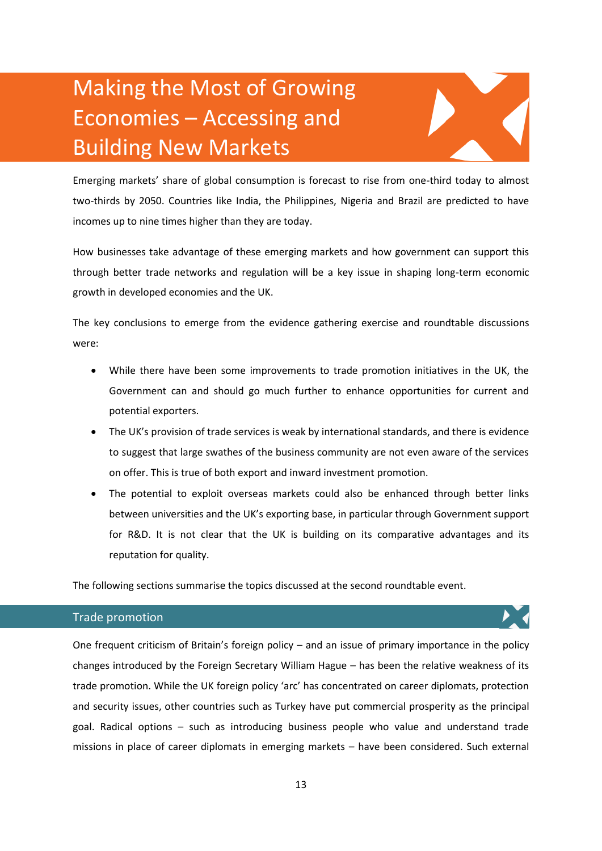# Making the Most of Growing Economies – Accessing and Building New Markets

Emerging markets' share of global consumption is forecast to rise from one-third today to almost two-thirds by 2050. Countries like India, the Philippines, Nigeria and Brazil are predicted to have incomes up to nine times higher than they are today.

How businesses take advantage of these emerging markets and how government can support this through better trade networks and regulation will be a key issue in shaping long-term economic growth in developed economies and the UK.

The key conclusions to emerge from the evidence gathering exercise and roundtable discussions were:

- While there have been some improvements to trade promotion initiatives in the UK, the Government can and should go much further to enhance opportunities for current and potential exporters.
- The UK's provision of trade services is weak by international standards, and there is evidence to suggest that large swathes of the business community are not even aware of the services on offer. This is true of both export and inward investment promotion.
- The potential to exploit overseas markets could also be enhanced through better links between universities and the UK's exporting base, in particular through Government support for R&D. It is not clear that the UK is building on its comparative advantages and its reputation for quality.

The following sections summarise the topics discussed at the second roundtable event.

# Trade promotion

One frequent criticism of Britain's foreign policy – and an issue of primary importance in the policy changes introduced by the Foreign Secretary William Hague – has been the relative weakness of its trade promotion. While the UK foreign policy 'arc' has concentrated on career diplomats, protection and security issues, other countries such as Turkey have put commercial prosperity as the principal goal. Radical options – such as introducing business people who value and understand trade missions in place of career diplomats in emerging markets – have been considered. Such external

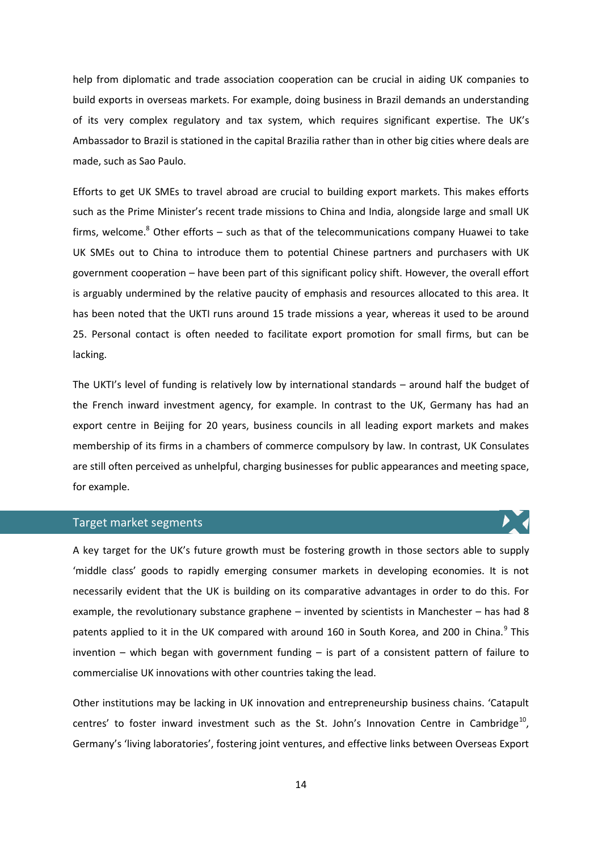help from diplomatic and trade association cooperation can be crucial in aiding UK companies to build exports in overseas markets. For example, doing business in Brazil demands an understanding of its very complex regulatory and tax system, which requires significant expertise. The UK's Ambassador to Brazil is stationed in the capital Brazilia rather than in other big cities where deals are made, such as Sao Paulo.

Efforts to get UK SMEs to travel abroad are crucial to building export markets. This makes efforts such as the Prime Minister's recent trade missions to China and India, alongside large and small UK firms, welcome. $8$  Other efforts – such as that of the telecommunications company Huawei to take UK SMEs out to China to introduce them to potential Chinese partners and purchasers with UK government cooperation – have been part of this significant policy shift. However, the overall effort is arguably undermined by the relative paucity of emphasis and resources allocated to this area. It has been noted that the UKTI runs around 15 trade missions a year, whereas it used to be around 25. Personal contact is often needed to facilitate export promotion for small firms, but can be lacking.

The UKTI's level of funding is relatively low by international standards – around half the budget of the French inward investment agency, for example. In contrast to the UK, Germany has had an export centre in Beijing for 20 years, business councils in all leading export markets and makes membership of its firms in a chambers of commerce compulsory by law. In contrast, UK Consulates are still often perceived as unhelpful, charging businesses for public appearances and meeting space, for example.

#### Target market segments

A key target for the UK's future growth must be fostering growth in those sectors able to supply 'middle class' goods to rapidly emerging consumer markets in developing economies. It is not necessarily evident that the UK is building on its comparative advantages in order to do this. For example, the revolutionary substance graphene – invented by scientists in Manchester – has had 8 patents applied to it in the UK compared with around 160 in South Korea, and 200 in China.<sup>9</sup> This invention  $-$  which began with government funding  $-$  is part of a consistent pattern of failure to commercialise UK innovations with other countries taking the lead.

Other institutions may be lacking in UK innovation and entrepreneurship business chains. 'Catapult centres' to foster inward investment such as the St. John's Innovation Centre in Cambridge<sup>10</sup>, Germany's 'living laboratories', fostering joint ventures, and effective links between Overseas Export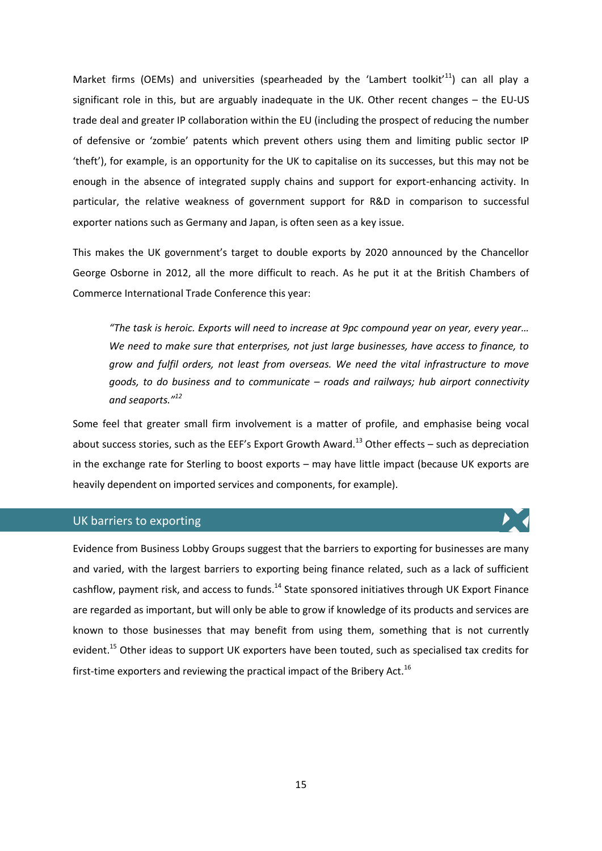Market firms (OEMs) and universities (spearheaded by the 'Lambert toolkit'<sup>11</sup>) can all play a significant role in this, but are arguably inadequate in the UK. Other recent changes – the EU-US trade deal and greater IP collaboration within the EU (including the prospect of reducing the number of defensive or 'zombie' patents which prevent others using them and limiting public sector IP 'theft'), for example, is an opportunity for the UK to capitalise on its successes, but this may not be enough in the absence of integrated supply chains and support for export-enhancing activity. In particular, the relative weakness of government support for R&D in comparison to successful exporter nations such as Germany and Japan, is often seen as a key issue.

This makes the UK government's target to double exports by 2020 announced by the Chancellor George Osborne in 2012, all the more difficult to reach. As he put it at the British Chambers of Commerce International Trade Conference this year:

*"The task is heroic. Exports will need to increase at 9pc compound year on year, every year… We need to make sure that enterprises, not just large businesses, have access to finance, to grow and fulfil orders, not least from overseas. We need the vital infrastructure to move goods, to do business and to communicate – roads and railways; hub airport connectivity and seaports."<sup>12</sup>*

Some feel that greater small firm involvement is a matter of profile, and emphasise being vocal about success stories, such as the EEF's Export Growth Award.<sup>13</sup> Other effects – such as depreciation in the exchange rate for Sterling to boost exports – may have little impact (because UK exports are heavily dependent on imported services and components, for example).

#### UK barriers to exporting

Evidence from Business Lobby Groups suggest that the barriers to exporting for businesses are many and varied, with the largest barriers to exporting being finance related, such as a lack of sufficient cashflow, payment risk, and access to funds.<sup>14</sup> State sponsored initiatives through UK Export Finance are regarded as important, but will only be able to grow if knowledge of its products and services are known to those businesses that may benefit from using them, something that is not currently evident.<sup>15</sup> Other ideas to support UK exporters have been touted, such as specialised tax credits for first-time exporters and reviewing the practical impact of the Bribery Act.<sup>16</sup>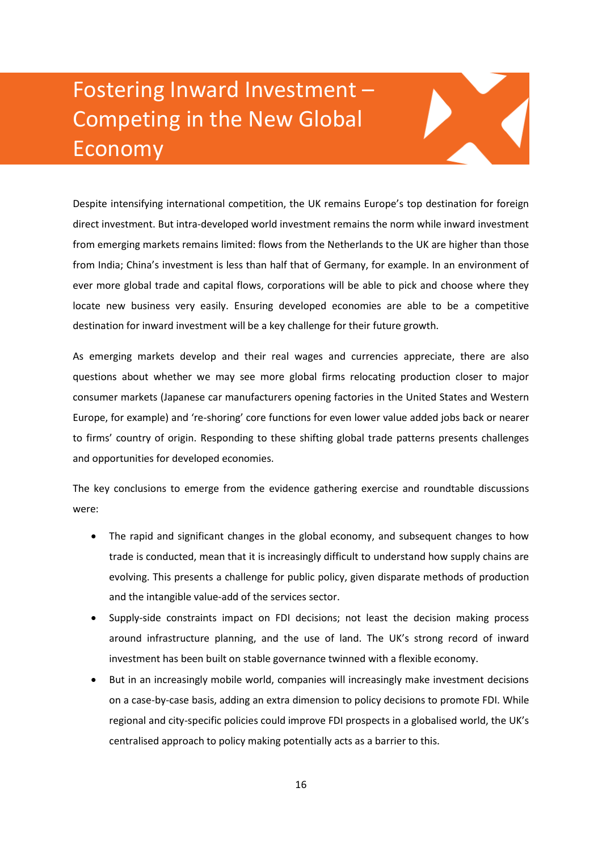# Fostering Inward Investment – Competing in the New Global Economy

Despite intensifying international competition, the UK remains Europe's top destination for foreign direct investment. But intra-developed world investment remains the norm while inward investment from emerging markets remains limited: flows from the Netherlands to the UK are higher than those from India; China's investment is less than half that of Germany, for example. In an environment of ever more global trade and capital flows, corporations will be able to pick and choose where they locate new business very easily. Ensuring developed economies are able to be a competitive destination for inward investment will be a key challenge for their future growth.

As emerging markets develop and their real wages and currencies appreciate, there are also questions about whether we may see more global firms relocating production closer to major consumer markets (Japanese car manufacturers opening factories in the United States and Western Europe, for example) and 're-shoring' core functions for even lower value added jobs back or nearer to firms' country of origin. Responding to these shifting global trade patterns presents challenges and opportunities for developed economies.

The key conclusions to emerge from the evidence gathering exercise and roundtable discussions were:

- The rapid and significant changes in the global economy, and subsequent changes to how trade is conducted, mean that it is increasingly difficult to understand how supply chains are evolving. This presents a challenge for public policy, given disparate methods of production and the intangible value-add of the services sector.
- Supply-side constraints impact on FDI decisions; not least the decision making process around infrastructure planning, and the use of land. The UK's strong record of inward investment has been built on stable governance twinned with a flexible economy.
- But in an increasingly mobile world, companies will increasingly make investment decisions on a case-by-case basis, adding an extra dimension to policy decisions to promote FDI. While regional and city-specific policies could improve FDI prospects in a globalised world, the UK's centralised approach to policy making potentially acts as a barrier to this.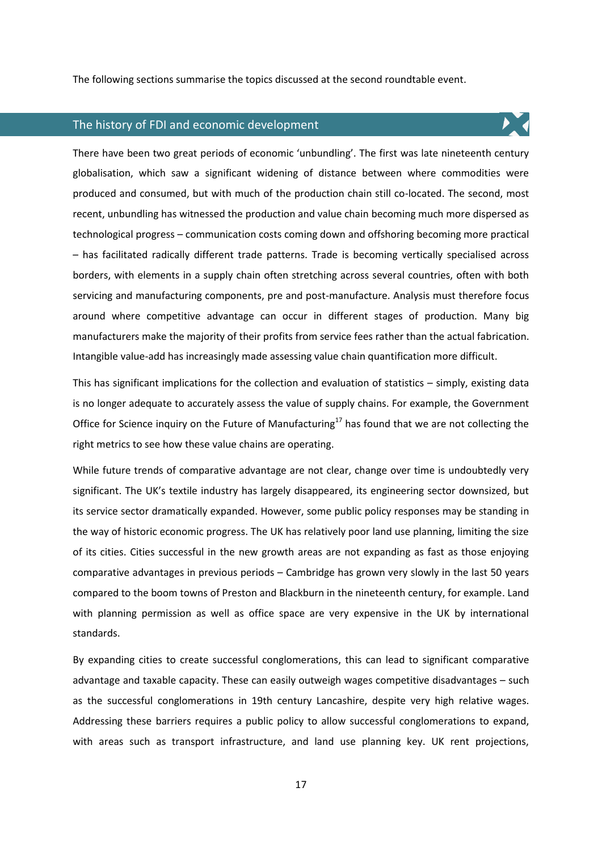The following sections summarise the topics discussed at the second roundtable event.

### The history of FDI and economic development

There have been two great periods of economic 'unbundling'. The first was late nineteenth century

globalisation, which saw a significant widening of distance between where commodities were produced and consumed, but with much of the production chain still co-located. The second, most recent, unbundling has witnessed the production and value chain becoming much more dispersed as technological progress – communication costs coming down and offshoring becoming more practical – has facilitated radically different trade patterns. Trade is becoming vertically specialised across borders, with elements in a supply chain often stretching across several countries, often with both servicing and manufacturing components, pre and post-manufacture. Analysis must therefore focus around where competitive advantage can occur in different stages of production. Many big manufacturers make the majority of their profits from service fees rather than the actual fabrication. Intangible value-add has increasingly made assessing value chain quantification more difficult.

This has significant implications for the collection and evaluation of statistics – simply, existing data is no longer adequate to accurately assess the value of supply chains. For example, the Government Office for Science inquiry on the Future of Manufacturing<sup>17</sup> has found that we are not collecting the right metrics to see how these value chains are operating.

While future trends of comparative advantage are not clear, change over time is undoubtedly very significant. The UK's textile industry has largely disappeared, its engineering sector downsized, but its service sector dramatically expanded. However, some public policy responses may be standing in the way of historic economic progress. The UK has relatively poor land use planning, limiting the size of its cities. Cities successful in the new growth areas are not expanding as fast as those enjoying comparative advantages in previous periods – Cambridge has grown very slowly in the last 50 years compared to the boom towns of Preston and Blackburn in the nineteenth century, for example. Land with planning permission as well as office space are very expensive in the UK by international standards.

By expanding cities to create successful conglomerations, this can lead to significant comparative advantage and taxable capacity. These can easily outweigh wages competitive disadvantages – such as the successful conglomerations in 19th century Lancashire, despite very high relative wages. Addressing these barriers requires a public policy to allow successful conglomerations to expand, with areas such as transport infrastructure, and land use planning key. UK rent projections,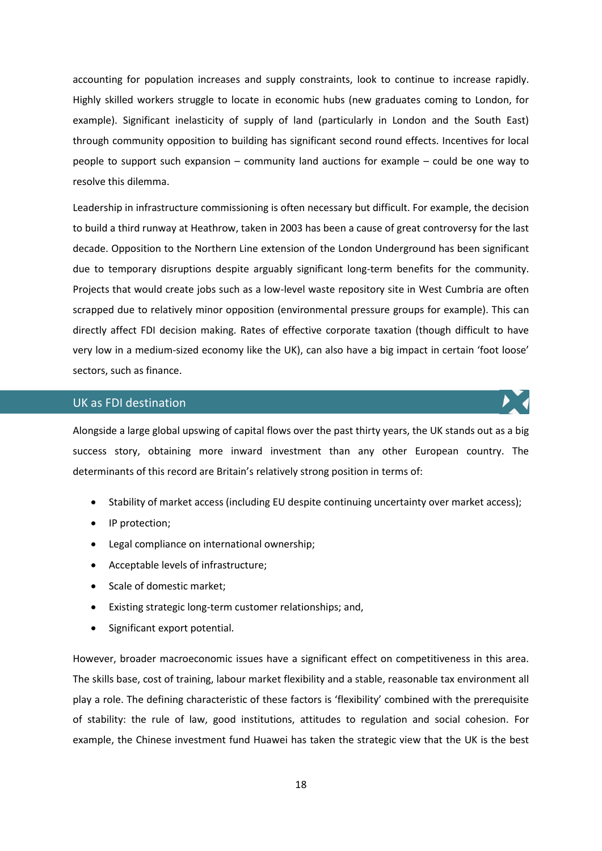accounting for population increases and supply constraints, look to continue to increase rapidly. Highly skilled workers struggle to locate in economic hubs (new graduates coming to London, for example). Significant inelasticity of supply of land (particularly in London and the South East) through community opposition to building has significant second round effects. Incentives for local people to support such expansion – community land auctions for example – could be one way to resolve this dilemma.

Leadership in infrastructure commissioning is often necessary but difficult. For example, the decision to build a third runway at Heathrow, taken in 2003 has been a cause of great controversy for the last decade. Opposition to the Northern Line extension of the London Underground has been significant due to temporary disruptions despite arguably significant long-term benefits for the community. Projects that would create jobs such as a low-level waste repository site in West Cumbria are often scrapped due to relatively minor opposition (environmental pressure groups for example). This can directly affect FDI decision making. Rates of effective corporate taxation (though difficult to have very low in a medium-sized economy like the UK), can also have a big impact in certain 'foot loose' sectors, such as finance.

# UK as FDI destination

Alongside a large global upswing of capital flows over the past thirty years, the UK stands out as a big success story, obtaining more inward investment than any other European country. The determinants of this record are Britain's relatively strong position in terms of:

- Stability of market access (including EU despite continuing uncertainty over market access);
- IP protection;
- Legal compliance on international ownership;
- Acceptable levels of infrastructure;
- Scale of domestic market;
- Existing strategic long-term customer relationships; and,
- Significant export potential.

However, broader macroeconomic issues have a significant effect on competitiveness in this area. The skills base, cost of training, labour market flexibility and a stable, reasonable tax environment all play a role. The defining characteristic of these factors is 'flexibility' combined with the prerequisite of stability: the rule of law, good institutions, attitudes to regulation and social cohesion. For example, the Chinese investment fund Huawei has taken the strategic view that the UK is the best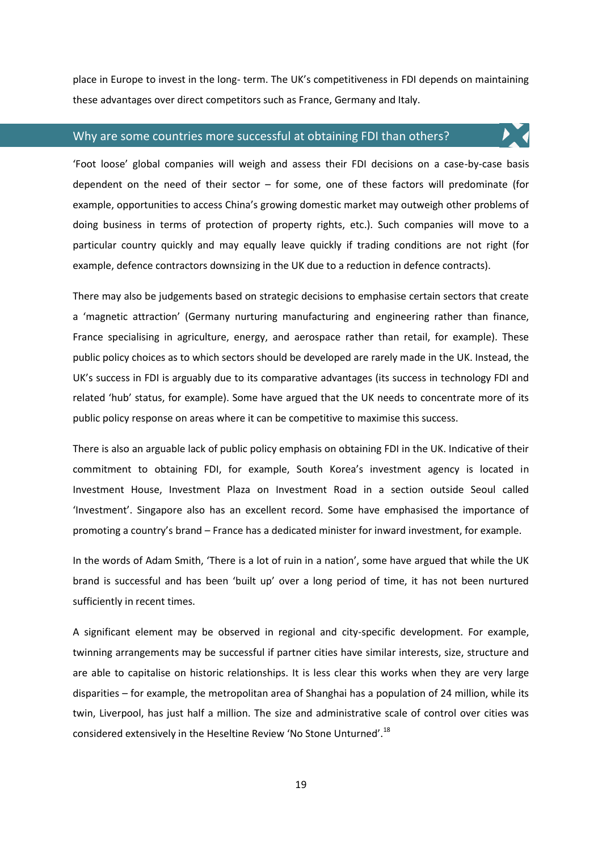place in Europe to invest in the long- term. The UK's competitiveness in FDI depends on maintaining these advantages over direct competitors such as France, Germany and Italy.

#### Why are some countries more successful at obtaining FDI than others?

'Foot loose' global companies will weigh and assess their FDI decisions on a case-by-case basis dependent on the need of their sector – for some, one of these factors will predominate (for example, opportunities to access China's growing domestic market may outweigh other problems of doing business in terms of protection of property rights, etc.). Such companies will move to a particular country quickly and may equally leave quickly if trading conditions are not right (for example, defence contractors downsizing in the UK due to a reduction in defence contracts).

There may also be judgements based on strategic decisions to emphasise certain sectors that create a 'magnetic attraction' (Germany nurturing manufacturing and engineering rather than finance, France specialising in agriculture, energy, and aerospace rather than retail, for example). These public policy choices as to which sectors should be developed are rarely made in the UK. Instead, the UK's success in FDI is arguably due to its comparative advantages (its success in technology FDI and related 'hub' status, for example). Some have argued that the UK needs to concentrate more of its public policy response on areas where it can be competitive to maximise this success.

There is also an arguable lack of public policy emphasis on obtaining FDI in the UK. Indicative of their commitment to obtaining FDI, for example, South Korea's investment agency is located in Investment House, Investment Plaza on Investment Road in a section outside Seoul called 'Investment'. Singapore also has an excellent record. Some have emphasised the importance of promoting a country's brand – France has a dedicated minister for inward investment, for example.

In the words of Adam Smith, 'There is a lot of ruin in a nation', some have argued that while the UK brand is successful and has been 'built up' over a long period of time, it has not been nurtured sufficiently in recent times.

A significant element may be observed in regional and city-specific development. For example, twinning arrangements may be successful if partner cities have similar interests, size, structure and are able to capitalise on historic relationships. It is less clear this works when they are very large disparities – for example, the metropolitan area of Shanghai has a population of 24 million, while its twin, Liverpool, has just half a million. The size and administrative scale of control over cities was considered extensively in the Heseltine Review 'No Stone Unturned'.<sup>18</sup>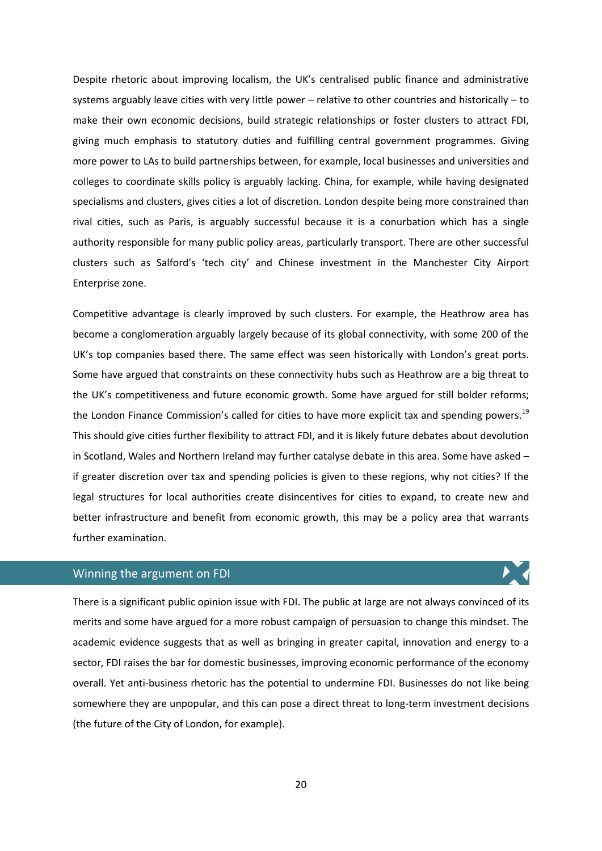Despite rhetoric about improving localism, the UK's centralised public finance and administrative systems arguably leave cities with very little power – relative to other countries and historically – to make their own economic decisions, build strategic relationships or foster clusters to attract FDI, giving much emphasis to statutory duties and fulfilling central government programmes. Giving more power to LAs to build partnerships between, for example, local businesses and universities and colleges to coordinate skills policy is arguably lacking. China, for example, while having designated specialisms and clusters, gives cities a lot of discretion. London despite being more constrained than rival cities, such as Paris, is arguably successful because it is a conurbation which has a single authority responsible for many public policy areas, particularly transport. There are other successful clusters such as Salford's 'tech city' and Chinese investment in the Manchester City Airport Enterprise zone.

Competitive advantage is clearly improved by such clusters. For example, the Heathrow area has become a conglomeration arguably largely because of its global connectivity, with some 200 of the UK's top companies based there. The same effect was seen historically with London's great ports. Some have argued that constraints on these connectivity hubs such as Heathrow are a big threat to the UK's competitiveness and future economic growth. Some have argued for still bolder reforms; the London Finance Commission's called for cities to have more explicit tax and spending powers.<sup>19</sup> This should give cities further flexibility to attract FDI, and it is likely future debates about devolution in Scotland, Wales and Northern Ireland may further catalyse debate in this area. Some have asked – if greater discretion over tax and spending policies is given to these regions, why not cities? If the legal structures for local authorities create disincentives for cities to expand, to create new and better infrastructure and benefit from economic growth, this may be a policy area that warrants further examination.

### Winning the argument on FDI

There is a significant public opinion issue with FDI. The public at large are not always convinced of its merits and some have argued for a more robust campaign of persuasion to change this mindset. The academic evidence suggests that as well as bringing in greater capital, innovation and energy to a sector, FDI raises the bar for domestic businesses, improving economic performance of the economy overall. Yet anti-business rhetoric has the potential to undermine FDI. Businesses do not like being somewhere they are unpopular, and this can pose a direct threat to long-term investment decisions (the future of the City of London, for example).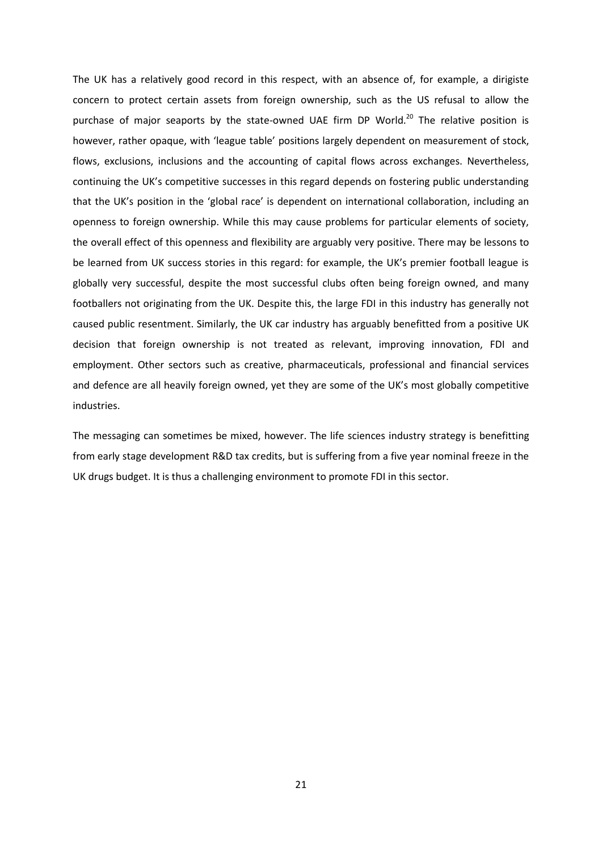The UK has a relatively good record in this respect, with an absence of, for example, a dirigiste concern to protect certain assets from foreign ownership, such as the US refusal to allow the purchase of major seaports by the state-owned UAE firm DP World.<sup>20</sup> The relative position is however, rather opaque, with 'league table' positions largely dependent on measurement of stock, flows, exclusions, inclusions and the accounting of capital flows across exchanges. Nevertheless, continuing the UK's competitive successes in this regard depends on fostering public understanding that the UK's position in the 'global race' is dependent on international collaboration, including an openness to foreign ownership. While this may cause problems for particular elements of society, the overall effect of this openness and flexibility are arguably very positive. There may be lessons to be learned from UK success stories in this regard: for example, the UK's premier football league is globally very successful, despite the most successful clubs often being foreign owned, and many footballers not originating from the UK. Despite this, the large FDI in this industry has generally not caused public resentment. Similarly, the UK car industry has arguably benefitted from a positive UK decision that foreign ownership is not treated as relevant, improving innovation, FDI and employment. Other sectors such as creative, pharmaceuticals, professional and financial services and defence are all heavily foreign owned, yet they are some of the UK's most globally competitive industries.

The messaging can sometimes be mixed, however. The life sciences industry strategy is benefitting from early stage development R&D tax credits, but is suffering from a five year nominal freeze in the UK drugs budget. It is thus a challenging environment to promote FDI in this sector.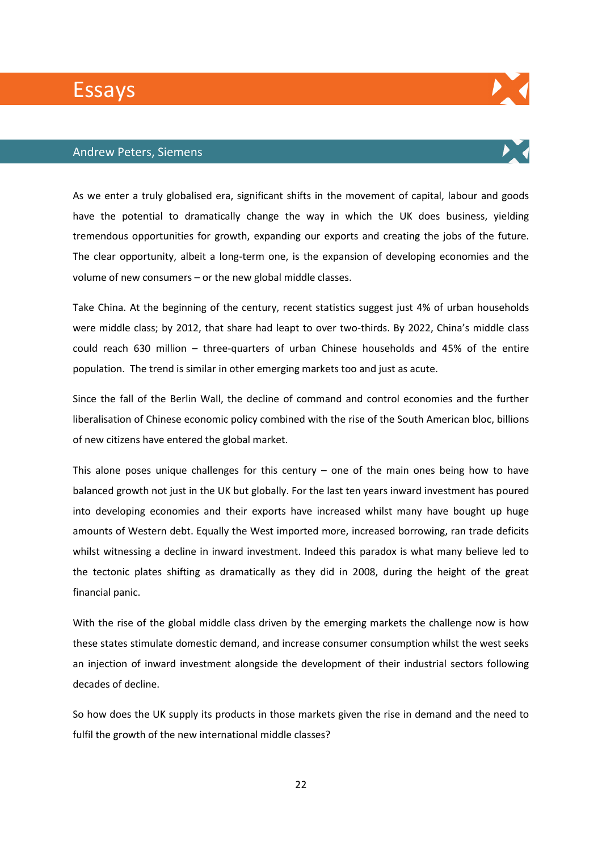# Essays

### Andrew Peters, Siemens

As we enter a truly globalised era, significant shifts in the movement of capital, labour and goods have the potential to dramatically change the way in which the UK does business, yielding tremendous opportunities for growth, expanding our exports and creating the jobs of the future. The clear opportunity, albeit a long-term one, is the expansion of developing economies and the volume of new consumers – or the new global middle classes.

Take China. At the beginning of the century, recent statistics suggest just 4% of urban households were middle class; by 2012, that share had leapt to over two-thirds. By 2022, China's middle class could reach 630 million – three-quarters of urban Chinese households and 45% of the entire population. The trend is similar in other emerging markets too and just as acute.

Since the fall of the Berlin Wall, the decline of command and control economies and the further liberalisation of Chinese economic policy combined with the rise of the South American bloc, billions of new citizens have entered the global market.

This alone poses unique challenges for this century  $-$  one of the main ones being how to have balanced growth not just in the UK but globally. For the last ten years inward investment has poured into developing economies and their exports have increased whilst many have bought up huge amounts of Western debt. Equally the West imported more, increased borrowing, ran trade deficits whilst witnessing a decline in inward investment. Indeed this paradox is what many believe led to the tectonic plates shifting as dramatically as they did in 2008, during the height of the great financial panic.

With the rise of the global middle class driven by the emerging markets the challenge now is how these states stimulate domestic demand, and increase consumer consumption whilst the west seeks an injection of inward investment alongside the development of their industrial sectors following decades of decline.

So how does the UK supply its products in those markets given the rise in demand and the need to fulfil the growth of the new international middle classes?



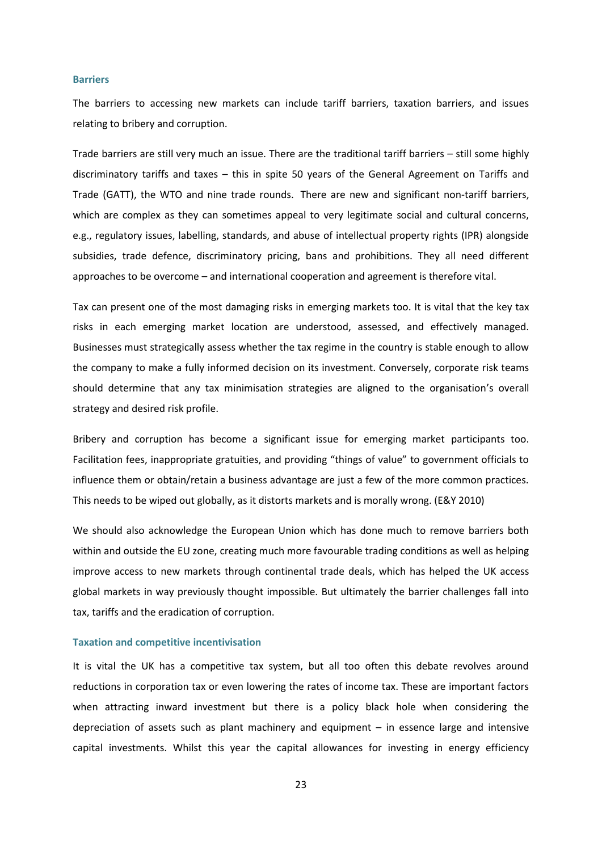#### **Barriers**

The barriers to accessing new markets can include tariff barriers, taxation barriers, and issues relating to bribery and corruption.

Trade barriers are still very much an issue. There are the traditional tariff barriers – still some highly discriminatory tariffs and taxes – this in spite 50 years of the General Agreement on Tariffs and Trade (GATT), the WTO and nine trade rounds. There are new and significant non-tariff barriers, which are complex as they can sometimes appeal to very legitimate social and cultural concerns, e.g., regulatory issues, labelling, standards, and abuse of intellectual property rights (IPR) alongside subsidies, trade defence, discriminatory pricing, bans and prohibitions. They all need different approaches to be overcome – and international cooperation and agreement is therefore vital.

Tax can present one of the most damaging risks in emerging markets too. It is vital that the key tax risks in each emerging market location are understood, assessed, and effectively managed. Businesses must strategically assess whether the tax regime in the country is stable enough to allow the company to make a fully informed decision on its investment. Conversely, corporate risk teams should determine that any tax minimisation strategies are aligned to the organisation's overall strategy and desired risk profile.

Bribery and corruption has become a significant issue for emerging market participants too. Facilitation fees, inappropriate gratuities, and providing "things of value" to government officials to influence them or obtain/retain a business advantage are just a few of the more common practices. This needs to be wiped out globally, as it distorts markets and is morally wrong. (E&Y 2010)

We should also acknowledge the European Union which has done much to remove barriers both within and outside the EU zone, creating much more favourable trading conditions as well as helping improve access to new markets through continental trade deals, which has helped the UK access global markets in way previously thought impossible. But ultimately the barrier challenges fall into tax, tariffs and the eradication of corruption.

#### **Taxation and competitive incentivisation**

It is vital the UK has a competitive tax system, but all too often this debate revolves around reductions in corporation tax or even lowering the rates of income tax. These are important factors when attracting inward investment but there is a policy black hole when considering the depreciation of assets such as plant machinery and equipment – in essence large and intensive capital investments. Whilst this year the capital allowances for investing in energy efficiency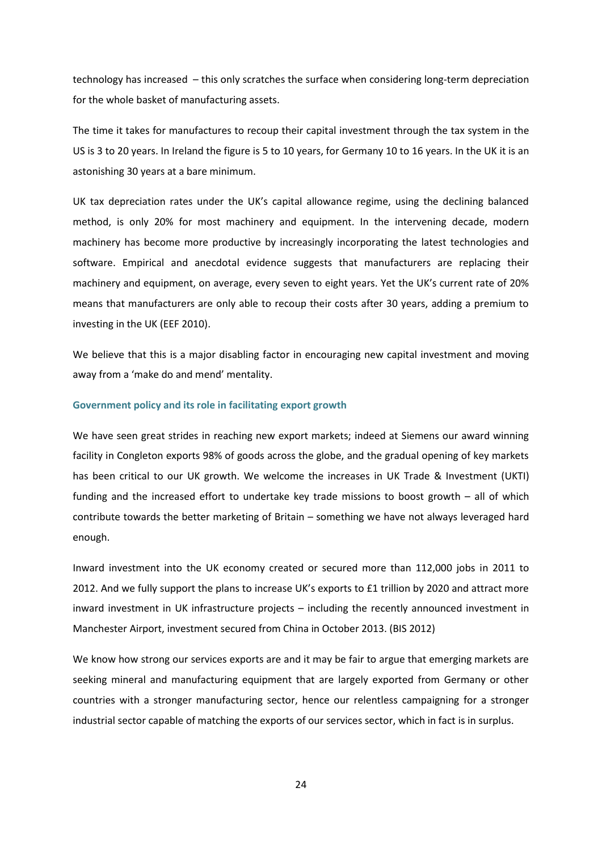technology has increased – this only scratches the surface when considering long-term depreciation for the whole basket of manufacturing assets.

The time it takes for manufactures to recoup their capital investment through the tax system in the US is 3 to 20 years. In Ireland the figure is 5 to 10 years, for Germany 10 to 16 years. In the UK it is an astonishing 30 years at a bare minimum.

UK tax depreciation rates under the UK's capital allowance regime, using the declining balanced method, is only 20% for most machinery and equipment. In the intervening decade, modern machinery has become more productive by increasingly incorporating the latest technologies and software. Empirical and anecdotal evidence suggests that manufacturers are replacing their machinery and equipment, on average, every seven to eight years. Yet the UK's current rate of 20% means that manufacturers are only able to recoup their costs after 30 years, adding a premium to investing in the UK (EEF 2010).

We believe that this is a major disabling factor in encouraging new capital investment and moving away from a 'make do and mend' mentality.

#### **Government policy and its role in facilitating export growth**

We have seen great strides in reaching new export markets; indeed at Siemens our award winning facility in Congleton exports 98% of goods across the globe, and the gradual opening of key markets has been critical to our UK growth. We welcome the increases in UK Trade & Investment (UKTI) funding and the increased effort to undertake key trade missions to boost growth – all of which contribute towards the better marketing of Britain – something we have not always leveraged hard enough.

Inward investment into the UK economy created or secured more than 112,000 jobs in 2011 to 2012. And we fully support the plans to increase UK's exports to £1 trillion by 2020 and attract more inward investment in UK infrastructure projects – including the recently announced investment in Manchester Airport, investment secured from China in October 2013. (BIS 2012)

We know how strong our services exports are and it may be fair to argue that emerging markets are seeking mineral and manufacturing equipment that are largely exported from Germany or other countries with a stronger manufacturing sector, hence our relentless campaigning for a stronger industrial sector capable of matching the exports of our services sector, which in fact is in surplus.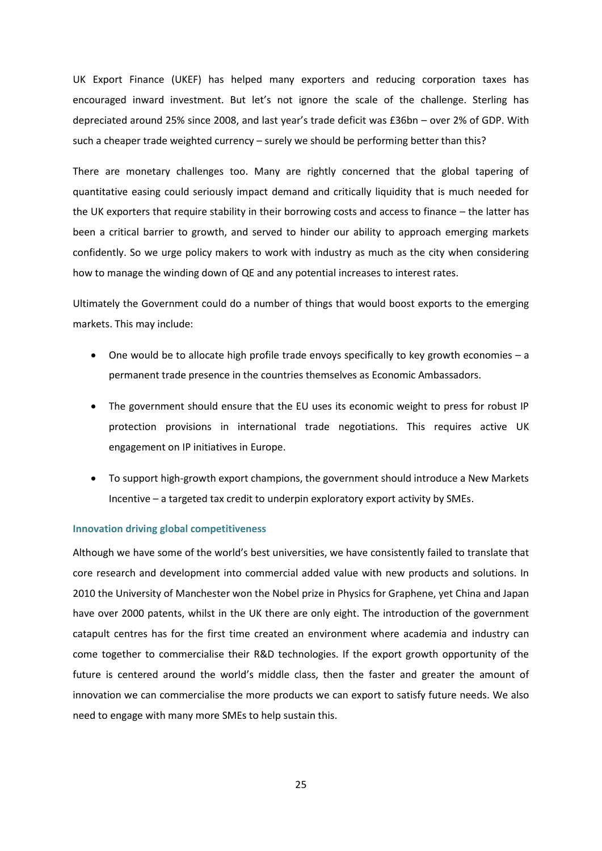UK Export Finance (UKEF) has helped many exporters and reducing corporation taxes has encouraged inward investment. But let's not ignore the scale of the challenge. Sterling has depreciated around 25% since 2008, and last year's trade deficit was £36bn – over 2% of GDP. With such a cheaper trade weighted currency – surely we should be performing better than this?

There are monetary challenges too. Many are rightly concerned that the global tapering of quantitative easing could seriously impact demand and critically liquidity that is much needed for the UK exporters that require stability in their borrowing costs and access to finance – the latter has been a critical barrier to growth, and served to hinder our ability to approach emerging markets confidently. So we urge policy makers to work with industry as much as the city when considering how to manage the winding down of QE and any potential increases to interest rates.

Ultimately the Government could do a number of things that would boost exports to the emerging markets. This may include:

- One would be to allocate high profile trade envoys specifically to key growth economies a permanent trade presence in the countries themselves as Economic Ambassadors.
- The government should ensure that the EU uses its economic weight to press for robust IP protection provisions in international trade negotiations. This requires active UK engagement on IP initiatives in Europe.
- To support high-growth export champions, the government should introduce a New Markets Incentive – a targeted tax credit to underpin exploratory export activity by SMEs.

#### **Innovation driving global competitiveness**

Although we have some of the world's best universities, we have consistently failed to translate that core research and development into commercial added value with new products and solutions. In 2010 the University of Manchester won the Nobel prize in Physics for Graphene, yet China and Japan have over 2000 patents, whilst in the UK there are only eight. The introduction of the government catapult centres has for the first time created an environment where academia and industry can come together to commercialise their R&D technologies. If the export growth opportunity of the future is centered around the world's middle class, then the faster and greater the amount of innovation we can commercialise the more products we can export to satisfy future needs. We also need to engage with many more SMEs to help sustain this.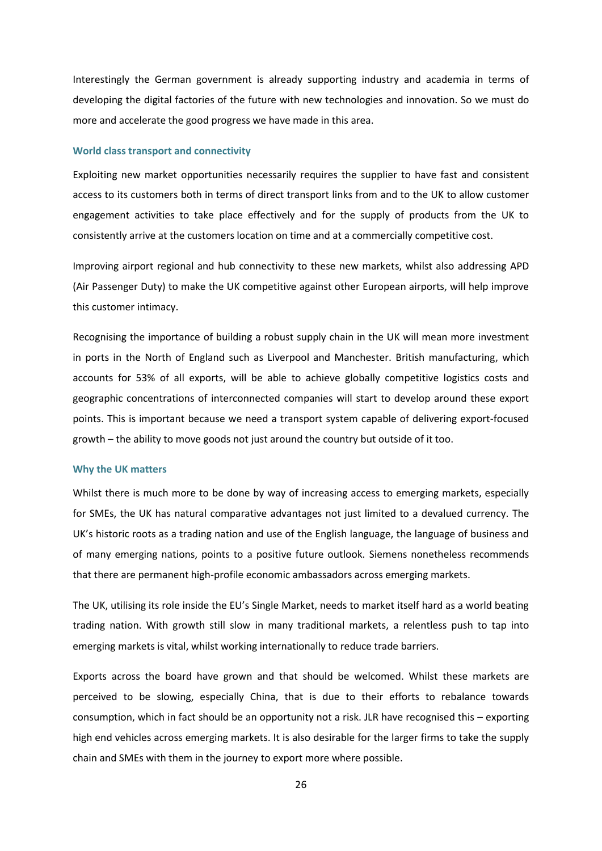Interestingly the German government is already supporting industry and academia in terms of developing the digital factories of the future with new technologies and innovation. So we must do more and accelerate the good progress we have made in this area.

#### **World class transport and connectivity**

Exploiting new market opportunities necessarily requires the supplier to have fast and consistent access to its customers both in terms of direct transport links from and to the UK to allow customer engagement activities to take place effectively and for the supply of products from the UK to consistently arrive at the customers location on time and at a commercially competitive cost.

Improving airport regional and hub connectivity to these new markets, whilst also addressing APD (Air Passenger Duty) to make the UK competitive against other European airports, will help improve this customer intimacy.

Recognising the importance of building a robust supply chain in the UK will mean more investment in ports in the North of England such as Liverpool and Manchester. British manufacturing, which accounts for 53% of all exports, will be able to achieve globally competitive logistics costs and geographic concentrations of interconnected companies will start to develop around these export points. This is important because we need a transport system capable of delivering export-focused growth – the ability to move goods not just around the country but outside of it too.

#### **Why the UK matters**

Whilst there is much more to be done by way of increasing access to emerging markets, especially for SMEs, the UK has natural comparative advantages not just limited to a devalued currency. The UK's historic roots as a trading nation and use of the English language, the language of business and of many emerging nations, points to a positive future outlook. Siemens nonetheless recommends that there are permanent high-profile economic ambassadors across emerging markets.

The UK, utilising its role inside the EU's Single Market, needs to market itself hard as a world beating trading nation. With growth still slow in many traditional markets, a relentless push to tap into emerging markets is vital, whilst working internationally to reduce trade barriers.

Exports across the board have grown and that should be welcomed. Whilst these markets are perceived to be slowing, especially China, that is due to their efforts to rebalance towards consumption, which in fact should be an opportunity not a risk. JLR have recognised this – exporting high end vehicles across emerging markets. It is also desirable for the larger firms to take the supply chain and SMEs with them in the journey to export more where possible.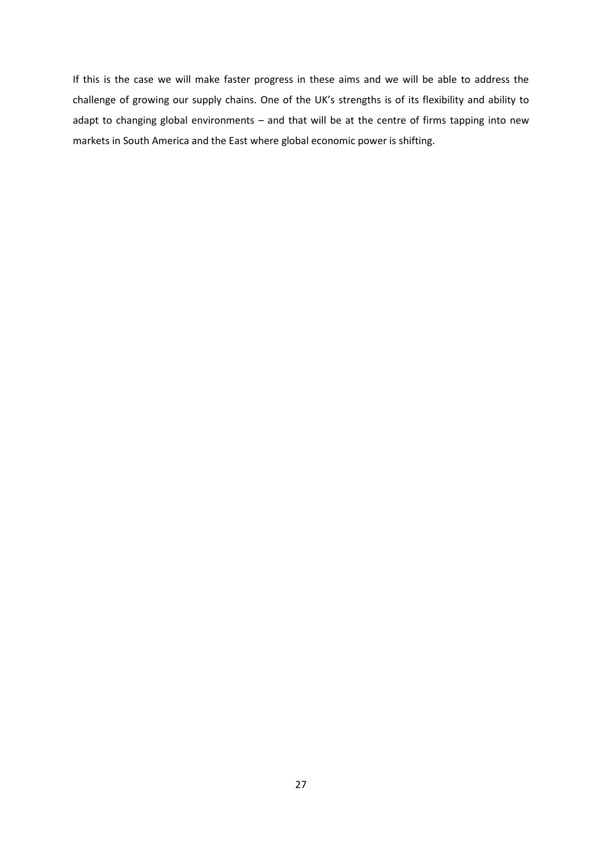If this is the case we will make faster progress in these aims and we will be able to address the challenge of growing our supply chains. One of the UK's strengths is of its flexibility and ability to adapt to changing global environments – and that will be at the centre of firms tapping into new markets in South America and the East where global economic power is shifting.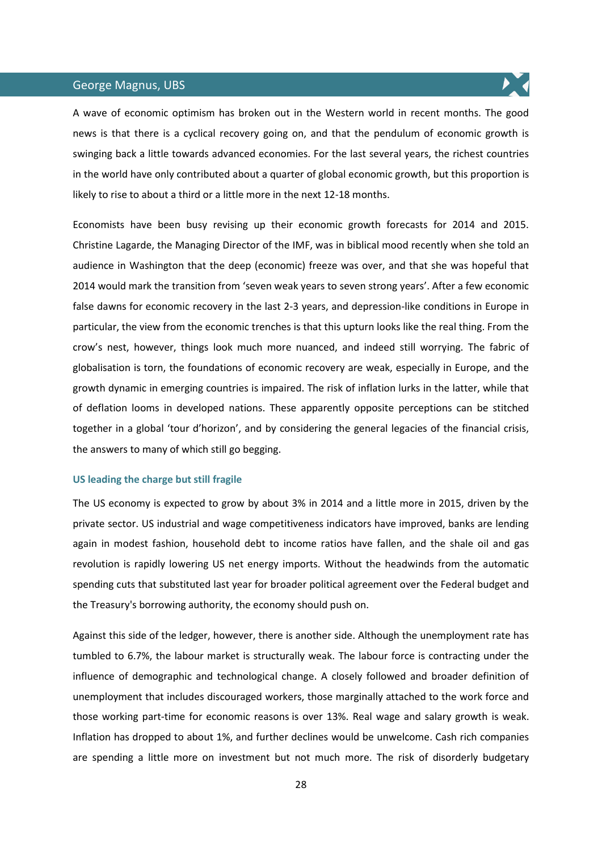# George Magnus, UBS



A wave of economic optimism has broken out in the Western world in recent months. The good news is that there is a cyclical recovery going on, and that the pendulum of economic growth is swinging back a little towards advanced economies. For the last several years, the richest countries in the world have only contributed about a quarter of global economic growth, but this proportion is likely to rise to about a third or a little more in the next 12-18 months.

Economists have been busy revising up their economic growth forecasts for 2014 and 2015. Christine Lagarde, the Managing Director of the IMF, was in biblical mood recently when she told an audience in Washington that the deep (economic) freeze was over, and that she was hopeful that 2014 would mark the transition from 'seven weak years to seven strong years'. After a few economic false dawns for economic recovery in the last 2-3 years, and depression-like conditions in Europe in particular, the view from the economic trenches is that this upturn looks like the real thing. From the crow's nest, however, things look much more nuanced, and indeed still worrying. The fabric of globalisation is torn, the foundations of economic recovery are weak, especially in Europe, and the growth dynamic in emerging countries is impaired. The risk of inflation lurks in the latter, while that of deflation looms in developed nations. These apparently opposite perceptions can be stitched together in a global 'tour d'horizon', and by considering the general legacies of the financial crisis, the answers to many of which still go begging.

#### **US leading the charge but still fragile**

The US economy is expected to grow by about 3% in 2014 and a little more in 2015, driven by the private sector. US industrial and wage competitiveness indicators have improved, banks are lending again in modest fashion, household debt to income ratios have fallen, and the shale oil and gas revolution is rapidly lowering US net energy imports. Without the headwinds from the automatic spending cuts that substituted last year for broader political agreement over the Federal budget and the Treasury's borrowing authority, the economy should push on.

Against this side of the ledger, however, there is another side. Although the unemployment rate has tumbled to 6.7%, the labour market is structurally weak. The labour force is contracting under the influence of demographic and technological change. A closely followed and broader definition of unemployment that includes discouraged workers, those marginally attached to the work force and those working part-time for economic reasons is over 13%. Real wage and salary growth is weak. Inflation has dropped to about 1%, and further declines would be unwelcome. Cash rich companies are spending a little more on investment but not much more. The risk of disorderly budgetary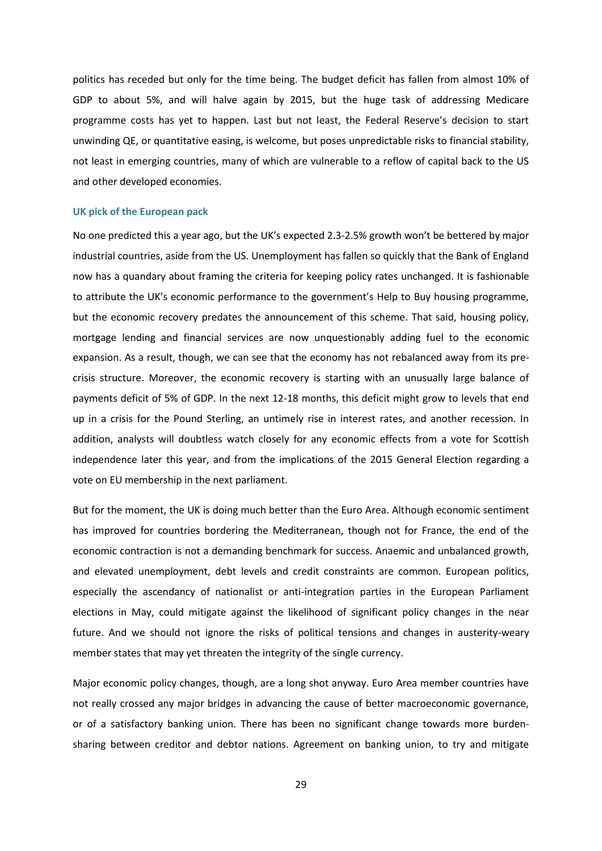politics has receded but only for the time being. The budget deficit has fallen from almost 10% of GDP to about 5%, and will halve again by 2015, but the huge task of addressing Medicare programme costs has yet to happen. Last but not least, the Federal Reserve's decision to start unwinding QE, or quantitative easing, is welcome, but poses unpredictable risks to financial stability, not least in emerging countries, many of which are vulnerable to a reflow of capital back to the US and other developed economies.

#### **UK pick of the European pack**

No one predicted this a year ago, but the UK's expected 2.3-2.5% growth won't be bettered by major industrial countries, aside from the US. Unemployment has fallen so quickly that the Bank of England now has a quandary about framing the criteria for keeping policy rates unchanged. It is fashionable to attribute the UK's economic performance to the government's Help to Buy housing programme, but the economic recovery predates the announcement of this scheme. That said, housing policy, mortgage lending and financial services are now unquestionably adding fuel to the economic expansion. As a result, though, we can see that the economy has not rebalanced away from its precrisis structure. Moreover, the economic recovery is starting with an unusually large balance of payments deficit of 5% of GDP. In the next 12-18 months, this deficit might grow to levels that end up in a crisis for the Pound Sterling, an untimely rise in interest rates, and another recession. In addition, analysts will doubtless watch closely for any economic effects from a vote for Scottish independence later this year, and from the implications of the 2015 General Election regarding a vote on EU membership in the next parliament.

But for the moment, the UK is doing much better than the Euro Area. Although economic sentiment has improved for countries bordering the Mediterranean, though not for France, the end of the economic contraction is not a demanding benchmark for success. Anaemic and unbalanced growth, and elevated unemployment, debt levels and credit constraints are common. European politics, especially the ascendancy of nationalist or anti-integration parties in the European Parliament elections in May, could mitigate against the likelihood of significant policy changes in the near future. And we should not ignore the risks of political tensions and changes in austerity-weary member states that may yet threaten the integrity of the single currency.

Major economic policy changes, though, are a long shot anyway. Euro Area member countries have not really crossed any major bridges in advancing the cause of better macroeconomic governance, or of a satisfactory banking union. There has been no significant change towards more burdensharing between creditor and debtor nations. Agreement on banking union, to try and mitigate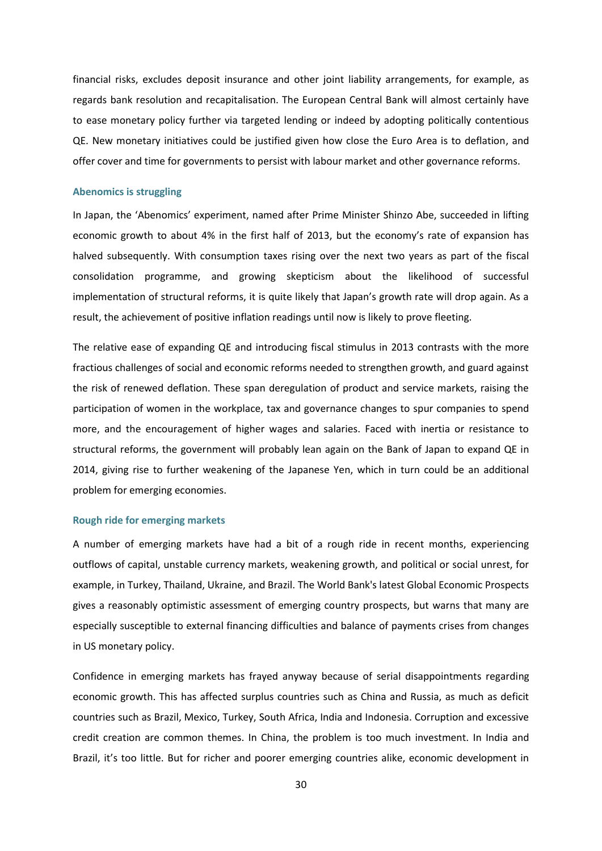financial risks, excludes deposit insurance and other joint liability arrangements, for example, as regards bank resolution and recapitalisation. The European Central Bank will almost certainly have to ease monetary policy further via targeted lending or indeed by adopting politically contentious QE. New monetary initiatives could be justified given how close the Euro Area is to deflation, and offer cover and time for governments to persist with labour market and other governance reforms.

#### **Abenomics is struggling**

In Japan, the 'Abenomics' experiment, named after Prime Minister Shinzo Abe, succeeded in lifting economic growth to about 4% in the first half of 2013, but the economy's rate of expansion has halved subsequently. With consumption taxes rising over the next two years as part of the fiscal consolidation programme, and growing skepticism about the likelihood of successful implementation of structural reforms, it is quite likely that Japan's growth rate will drop again. As a result, the achievement of positive inflation readings until now is likely to prove fleeting.

The relative ease of expanding QE and introducing fiscal stimulus in 2013 contrasts with the more fractious challenges of social and economic reforms needed to strengthen growth, and guard against the risk of renewed deflation. These span deregulation of product and service markets, raising the participation of women in the workplace, tax and governance changes to spur companies to spend more, and the encouragement of higher wages and salaries. Faced with inertia or resistance to structural reforms, the government will probably lean again on the Bank of Japan to expand QE in 2014, giving rise to further weakening of the Japanese Yen, which in turn could be an additional problem for emerging economies.

#### **Rough ride for emerging markets**

A number of emerging markets have had a bit of a rough ride in recent months, experiencing outflows of capital, unstable currency markets, weakening growth, and political or social unrest, for example, in Turkey, Thailand, Ukraine, and Brazil. The World Bank's latest Global Economic Prospects gives a reasonably optimistic assessment of emerging country prospects, but warns that many are especially susceptible to external financing difficulties and balance of payments crises from changes in US monetary policy.

Confidence in emerging markets has frayed anyway because of serial disappointments regarding economic growth. This has affected surplus countries such as China and Russia, as much as deficit countries such as Brazil, Mexico, Turkey, South Africa, India and Indonesia. Corruption and excessive credit creation are common themes. In China, the problem is too much investment. In India and Brazil, it's too little. But for richer and poorer emerging countries alike, economic development in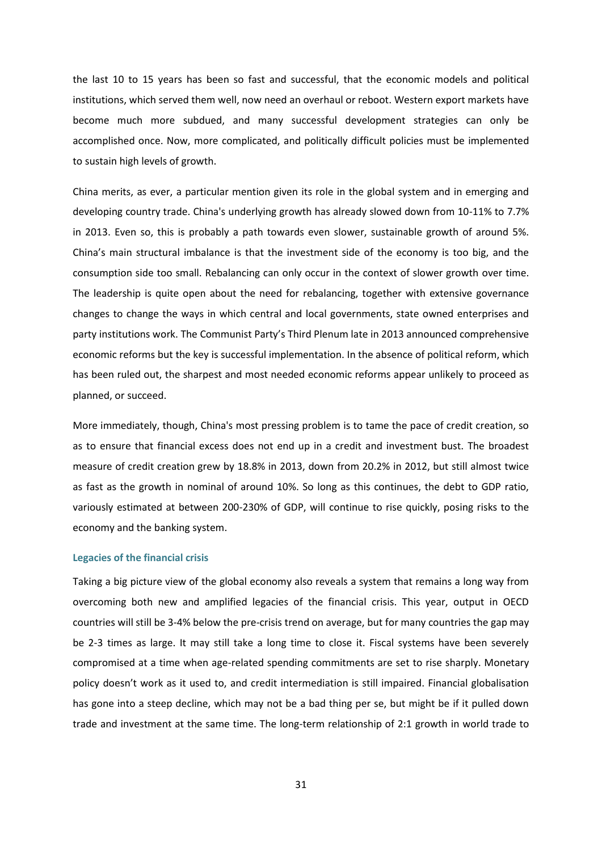the last 10 to 15 years has been so fast and successful, that the economic models and political institutions, which served them well, now need an overhaul or reboot. Western export markets have become much more subdued, and many successful development strategies can only be accomplished once. Now, more complicated, and politically difficult policies must be implemented to sustain high levels of growth.

China merits, as ever, a particular mention given its role in the global system and in emerging and developing country trade. China's underlying growth has already slowed down from 10-11% to 7.7% in 2013. Even so, this is probably a path towards even slower, sustainable growth of around 5%. China's main structural imbalance is that the investment side of the economy is too big, and the consumption side too small. Rebalancing can only occur in the context of slower growth over time. The leadership is quite open about the need for rebalancing, together with extensive governance changes to change the ways in which central and local governments, state owned enterprises and party institutions work. The Communist Party's Third Plenum late in 2013 announced comprehensive economic reforms but the key is successful implementation. In the absence of political reform, which has been ruled out, the sharpest and most needed economic reforms appear unlikely to proceed as planned, or succeed.

More immediately, though, China's most pressing problem is to tame the pace of credit creation, so as to ensure that financial excess does not end up in a credit and investment bust. The broadest measure of credit creation grew by 18.8% in 2013, down from 20.2% in 2012, but still almost twice as fast as the growth in nominal of around 10%. So long as this continues, the debt to GDP ratio, variously estimated at between 200-230% of GDP, will continue to rise quickly, posing risks to the economy and the banking system.

#### **Legacies of the financial crisis**

Taking a big picture view of the global economy also reveals a system that remains a long way from overcoming both new and amplified legacies of the financial crisis. This year, output in OECD countries will still be 3-4% below the pre-crisis trend on average, but for many countries the gap may be 2-3 times as large. It may still take a long time to close it. Fiscal systems have been severely compromised at a time when age-related spending commitments are set to rise sharply. Monetary policy doesn't work as it used to, and credit intermediation is still impaired. Financial globalisation has gone into a steep decline, which may not be a bad thing per se, but might be if it pulled down trade and investment at the same time. The long-term relationship of 2:1 growth in world trade to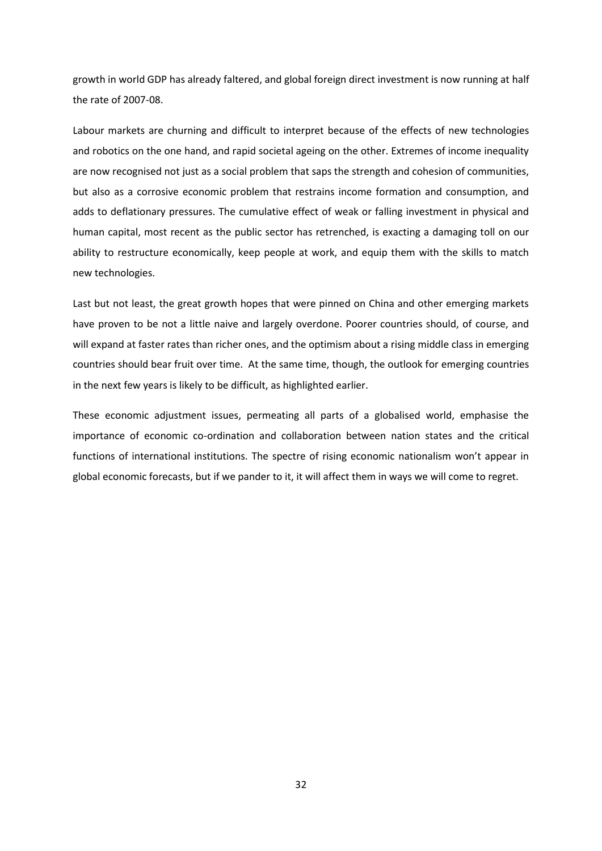growth in world GDP has already faltered, and global foreign direct investment is now running at half the rate of 2007-08.

Labour markets are churning and difficult to interpret because of the effects of new technologies and robotics on the one hand, and rapid societal ageing on the other. Extremes of income inequality are now recognised not just as a social problem that saps the strength and cohesion of communities, but also as a corrosive economic problem that restrains income formation and consumption, and adds to deflationary pressures. The cumulative effect of weak or falling investment in physical and human capital, most recent as the public sector has retrenched, is exacting a damaging toll on our ability to restructure economically, keep people at work, and equip them with the skills to match new technologies.

Last but not least, the great growth hopes that were pinned on China and other emerging markets have proven to be not a little naive and largely overdone. Poorer countries should, of course, and will expand at faster rates than richer ones, and the optimism about a rising middle class in emerging countries should bear fruit over time. At the same time, though, the outlook for emerging countries in the next few years is likely to be difficult, as highlighted earlier.

These economic adjustment issues, permeating all parts of a globalised world, emphasise the importance of economic co-ordination and collaboration between nation states and the critical functions of international institutions. The spectre of rising economic nationalism won't appear in global economic forecasts, but if we pander to it, it will affect them in ways we will come to regret.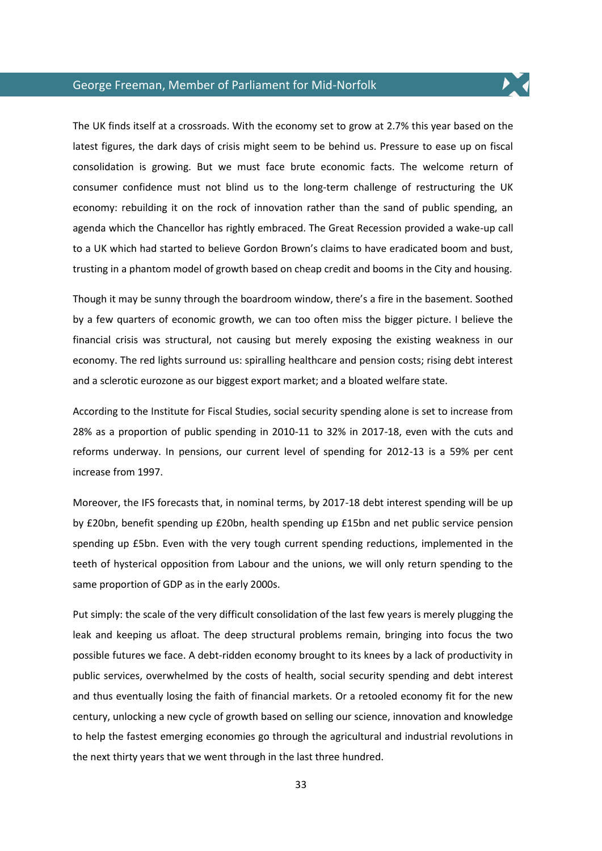# George Freeman, Member of Parliament for Mid-Norfolk

The UK finds itself at a crossroads. With the economy set to grow at 2.7% this year based on the latest figures, the dark days of crisis might seem to be behind us. Pressure to ease up on fiscal consolidation is growing. But we must face brute economic facts. The welcome return of consumer confidence must not blind us to the long-term challenge of restructuring the UK economy: rebuilding it on the rock of innovation rather than the sand of public spending, an agenda which the Chancellor has rightly embraced. The Great Recession provided a wake-up call to a UK which had started to believe Gordon Brown's claims to have eradicated boom and bust, trusting in a phantom model of growth based on cheap credit and booms in the City and housing.

Though it may be sunny through the boardroom window, there's a fire in the basement. Soothed by a few quarters of economic growth, we can too often miss the bigger picture. I believe the financial crisis was structural, not causing but merely exposing the existing weakness in our economy. The red lights surround us: spiralling healthcare and pension costs; rising debt interest and a sclerotic eurozone as our biggest export market; and a bloated welfare state.

According to the Institute for Fiscal Studies, social security spending alone is set to increase from 28% as a proportion of public spending in 2010-11 to 32% in 2017-18, even with the cuts and reforms underway. In pensions, our current level of spending for 2012-13 is a 59% per cent increase from 1997.

Moreover, the IFS forecasts that, in nominal terms, by 2017-18 debt interest spending will be up by £20bn, benefit spending up £20bn, health spending up £15bn and net public service pension spending up £5bn. Even with the very tough current spending reductions, implemented in the teeth of hysterical opposition from Labour and the unions, we will only return spending to the same proportion of GDP as in the early 2000s.

Put simply: the scale of the very difficult consolidation of the last few years is merely plugging the leak and keeping us afloat. The deep structural problems remain, bringing into focus the two possible futures we face. A debt-ridden economy brought to its knees by a lack of productivity in public services, overwhelmed by the costs of health, social security spending and debt interest and thus eventually losing the faith of financial markets. Or a retooled economy fit for the new century, unlocking a new cycle of growth based on selling our science, innovation and knowledge to help the fastest emerging economies go through the agricultural and industrial revolutions in the next thirty years that we went through in the last three hundred.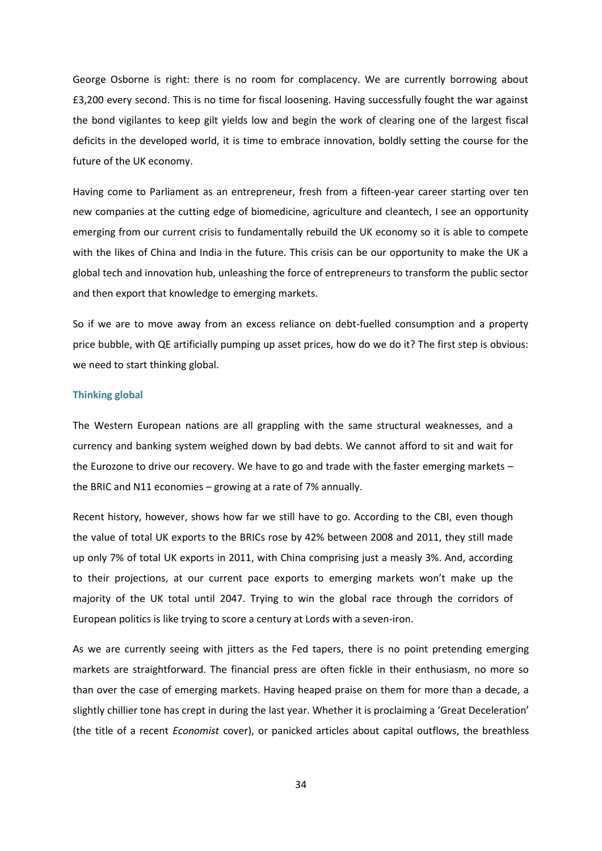George Osborne is right: there is no room for complacency. We are currently borrowing about £3,200 every second. This is no time for fiscal loosening. Having successfully fought the war against the bond vigilantes to keep gilt yields low and begin the work of clearing one of the largest fiscal deficits in the developed world, it is time to embrace innovation, boldly setting the course for the future of the UK economy.

Having come to Parliament as an entrepreneur, fresh from a fifteen-year career starting over ten new companies at the cutting edge of biomedicine, agriculture and cleantech, I see an opportunity emerging from our current crisis to fundamentally rebuild the UK economy so it is able to compete with the likes of China and India in the future. This crisis can be our opportunity to make the UK a global tech and innovation hub, unleashing the force of entrepreneurs to transform the public sector and then export that knowledge to emerging markets.

So if we are to move away from an excess reliance on debt-fuelled consumption and a property price bubble, with QE artificially pumping up asset prices, how do we do it? The first step is obvious: we need to start thinking global.

### **Thinking global**

The Western European nations are all grappling with the same structural weaknesses, and a currency and banking system weighed down by bad debts. We cannot afford to sit and wait for the Eurozone to drive our recovery. We have to go and trade with the faster emerging markets – the BRIC and N11 economies – growing at a rate of 7% annually.

Recent history, however, shows how far we still have to go. According to the CBI, even though the value of total UK exports to the BRICs rose by 42% between 2008 and 2011, they still made up only 7% of total UK exports in 2011, with China comprising just a measly 3%. And, according to their projections, at our current pace exports to emerging markets won't make up the majority of the UK total until 2047. Trying to win the global race through the corridors of European politics is like trying to score a century at Lords with a seven-iron.

As we are currently seeing with jitters as the Fed tapers, there is no point pretending emerging markets are straightforward. The financial press are often fickle in their enthusiasm, no more so than over the case of emerging markets. Having heaped praise on them for more than a decade, a slightly chillier tone has crept in during the last year. Whether it is proclaiming a 'Great Deceleration' (the title of a recent *Economist* cover), or panicked articles about capital outflows, the breathless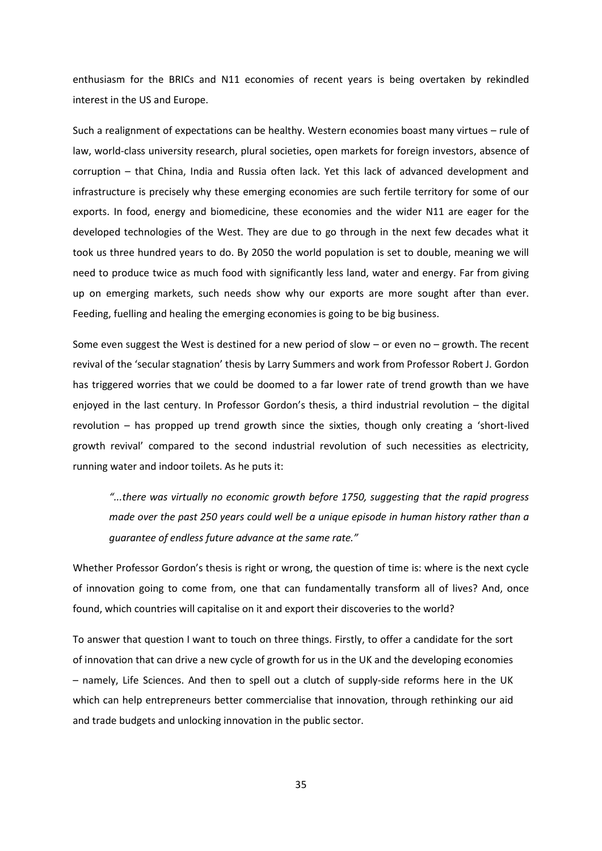enthusiasm for the BRICs and N11 economies of recent years is being overtaken by rekindled interest in the US and Europe.

Such a realignment of expectations can be healthy. Western economies boast many virtues – rule of law, world-class university research, plural societies, open markets for foreign investors, absence of corruption – that China, India and Russia often lack. Yet this lack of advanced development and infrastructure is precisely why these emerging economies are such fertile territory for some of our exports. In food, energy and biomedicine, these economies and the wider N11 are eager for the developed technologies of the West. They are due to go through in the next few decades what it took us three hundred years to do. By 2050 the world population is set to double, meaning we will need to produce twice as much food with significantly less land, water and energy. Far from giving up on emerging markets, such needs show why our exports are more sought after than ever. Feeding, fuelling and healing the emerging economies is going to be big business.

Some even suggest the West is destined for a new period of slow – or even no – growth. The recent revival of the 'secular stagnation' thesis by Larry Summers and work from Professor Robert J. Gordon has triggered worries that we could be doomed to a far lower rate of trend growth than we have enjoyed in the last century. In Professor Gordon's thesis, a third industrial revolution – the digital revolution – has propped up trend growth since the sixties, though only creating a 'short-lived growth revival' compared to the second industrial revolution of such necessities as electricity, running water and indoor toilets. As he puts it:

*"...there was virtually no economic growth before 1750, suggesting that the rapid progress made over the past 250 years could well be a unique episode in human history rather than a guarantee of endless future advance at the same rate."*

Whether Professor Gordon's thesis is right or wrong, the question of time is: where is the next cycle of innovation going to come from, one that can fundamentally transform all of lives? And, once found, which countries will capitalise on it and export their discoveries to the world?

To answer that question I want to touch on three things. Firstly, to offer a candidate for the sort of innovation that can drive a new cycle of growth for us in the UK and the developing economies – namely, Life Sciences. And then to spell out a clutch of supply-side reforms here in the UK which can help entrepreneurs better commercialise that innovation, through rethinking our aid and trade budgets and unlocking innovation in the public sector.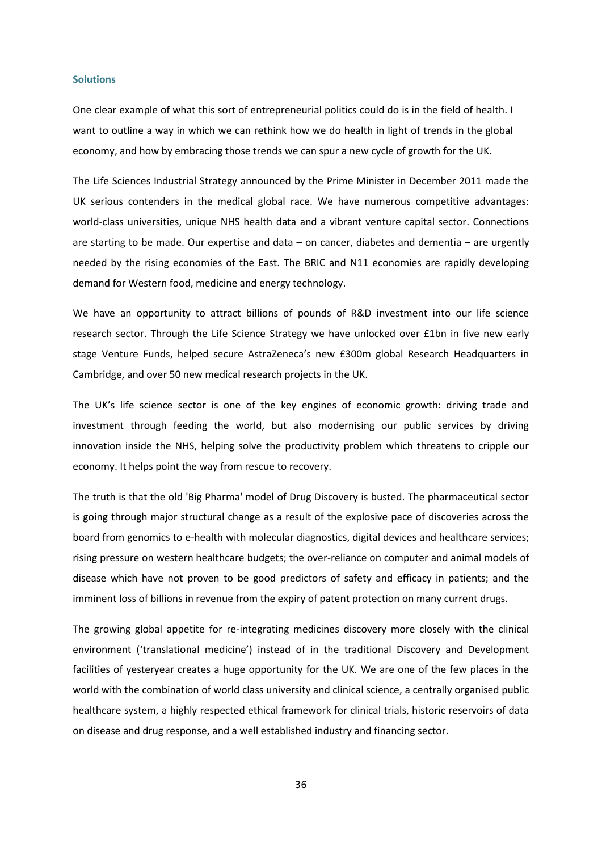#### **Solutions**

One clear example of what this sort of entrepreneurial politics could do is in the field of health. I want to outline a way in which we can rethink how we do health in light of trends in the global economy, and how by embracing those trends we can spur a new cycle of growth for the UK.

The Life Sciences Industrial Strategy announced by the Prime Minister in December 2011 made the UK serious contenders in the medical global race. We have numerous competitive advantages: world-class universities, unique NHS health data and a vibrant venture capital sector. Connections are starting to be made. Our expertise and data – on cancer, diabetes and dementia – are urgently needed by the rising economies of the East. The BRIC and N11 economies are rapidly developing demand for Western food, medicine and energy technology.

We have an opportunity to attract billions of pounds of R&D investment into our life science research sector. Through the Life Science Strategy we have unlocked over £1bn in five new early stage Venture Funds, helped secure AstraZeneca's new £300m global Research Headquarters in Cambridge, and over 50 new medical research projects in the UK.

The UK's life science sector is one of the key engines of economic growth: driving trade and investment through feeding the world, but also modernising our public services by driving innovation inside the NHS, helping solve the productivity problem which threatens to cripple our economy. It helps point the way from rescue to recovery.

The truth is that the old 'Big Pharma' model of Drug Discovery is busted. The pharmaceutical sector is going through major structural change as a result of the explosive pace of discoveries across the board from genomics to e-health with molecular diagnostics, digital devices and healthcare services; rising pressure on western healthcare budgets; the over-reliance on computer and animal models of disease which have not proven to be good predictors of safety and efficacy in patients; and the imminent loss of billions in revenue from the expiry of patent protection on many current drugs.

The growing global appetite for re-integrating medicines discovery more closely with the clinical environment ('translational medicine') instead of in the traditional Discovery and Development facilities of yesteryear creates a huge opportunity for the UK. We are one of the few places in the world with the combination of world class university and clinical science, a centrally organised public healthcare system, a highly respected ethical framework for clinical trials, historic reservoirs of data on disease and drug response, and a well established industry and financing sector.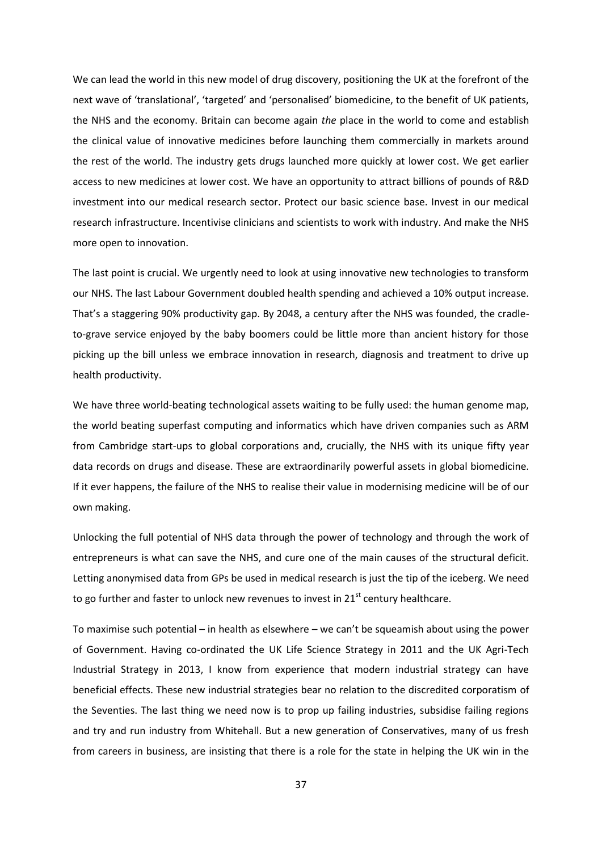We can lead the world in this new model of drug discovery, positioning the UK at the forefront of the next wave of 'translational', 'targeted' and 'personalised' biomedicine, to the benefit of UK patients, the NHS and the economy. Britain can become again *the* place in the world to come and establish the clinical value of innovative medicines before launching them commercially in markets around the rest of the world. The industry gets drugs launched more quickly at lower cost. We get earlier access to new medicines at lower cost. We have an opportunity to attract billions of pounds of R&D investment into our medical research sector. Protect our basic science base. Invest in our medical research infrastructure. Incentivise clinicians and scientists to work with industry. And make the NHS more open to innovation.

The last point is crucial. We urgently need to look at using innovative new technologies to transform our NHS. The last Labour Government doubled health spending and achieved a 10% output increase. That's a staggering 90% productivity gap. By 2048, a century after the NHS was founded, the cradleto-grave service enjoyed by the baby boomers could be little more than ancient history for those picking up the bill unless we embrace innovation in research, diagnosis and treatment to drive up health productivity.

We have three world-beating technological assets waiting to be fully used: the human genome map, the world beating superfast computing and informatics which have driven companies such as ARM from Cambridge start-ups to global corporations and, crucially, the NHS with its unique fifty year data records on drugs and disease. These are extraordinarily powerful assets in global biomedicine. If it ever happens, the failure of the NHS to realise their value in modernising medicine will be of our own making.

Unlocking the full potential of NHS data through the power of technology and through the work of entrepreneurs is what can save the NHS, and cure one of the main causes of the structural deficit. Letting anonymised data from GPs be used in medical research is just the tip of the iceberg. We need to go further and faster to unlock new revenues to invest in  $21<sup>st</sup>$  century healthcare.

To maximise such potential – in health as elsewhere – we can't be squeamish about using the power of Government. Having co-ordinated the UK Life Science Strategy in 2011 and the UK Agri-Tech Industrial Strategy in 2013, I know from experience that modern industrial strategy can have beneficial effects. These new industrial strategies bear no relation to the discredited corporatism of the Seventies. The last thing we need now is to prop up failing industries, subsidise failing regions and try and run industry from Whitehall. But a new generation of Conservatives, many of us fresh from careers in business, are insisting that there is a role for the state in helping the UK win in the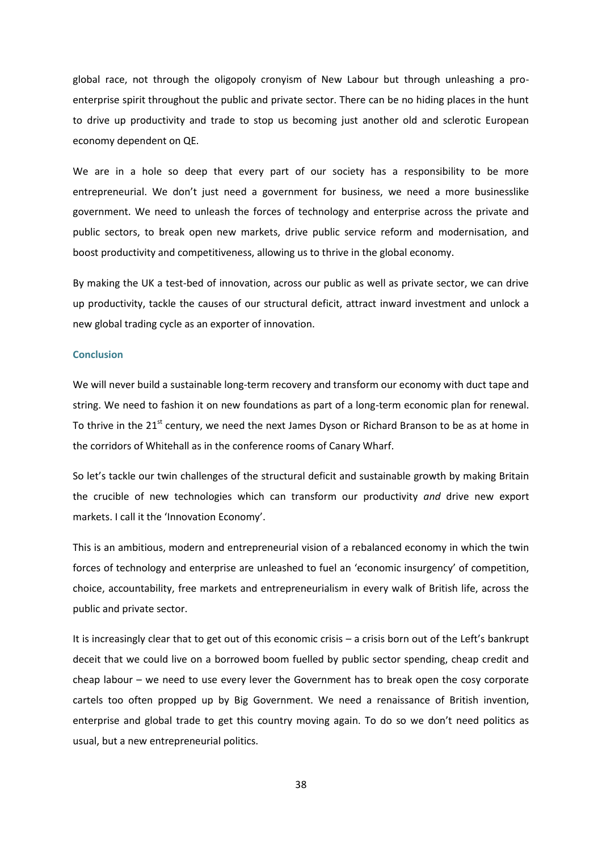global race, not through the oligopoly cronyism of New Labour but through unleashing a proenterprise spirit throughout the public and private sector. There can be no hiding places in the hunt to drive up productivity and trade to stop us becoming just another old and sclerotic European economy dependent on QE.

We are in a hole so deep that every part of our society has a responsibility to be more entrepreneurial. We don't just need a government for business, we need a more businesslike government. We need to unleash the forces of technology and enterprise across the private and public sectors, to break open new markets, drive public service reform and modernisation, and boost productivity and competitiveness, allowing us to thrive in the global economy.

By making the UK a test-bed of innovation, across our public as well as private sector, we can drive up productivity, tackle the causes of our structural deficit, attract inward investment and unlock a new global trading cycle as an exporter of innovation.

#### **Conclusion**

We will never build a sustainable long-term recovery and transform our economy with duct tape and string. We need to fashion it on new foundations as part of a long-term economic plan for renewal. To thrive in the 21<sup>st</sup> century, we need the next James Dyson or Richard Branson to be as at home in the corridors of Whitehall as in the conference rooms of Canary Wharf.

So let's tackle our twin challenges of the structural deficit and sustainable growth by making Britain the crucible of new technologies which can transform our productivity *and* drive new export markets. I call it the 'Innovation Economy'.

This is an ambitious, modern and entrepreneurial vision of a rebalanced economy in which the twin forces of technology and enterprise are unleashed to fuel an 'economic insurgency' of competition, choice, accountability, free markets and entrepreneurialism in every walk of British life, across the public and private sector.

It is increasingly clear that to get out of this economic crisis – a crisis born out of the Left's bankrupt deceit that we could live on a borrowed boom fuelled by public sector spending, cheap credit and cheap labour – we need to use every lever the Government has to break open the cosy corporate cartels too often propped up by Big Government. We need a renaissance of British invention, enterprise and global trade to get this country moving again. To do so we don't need politics as usual, but a new entrepreneurial politics.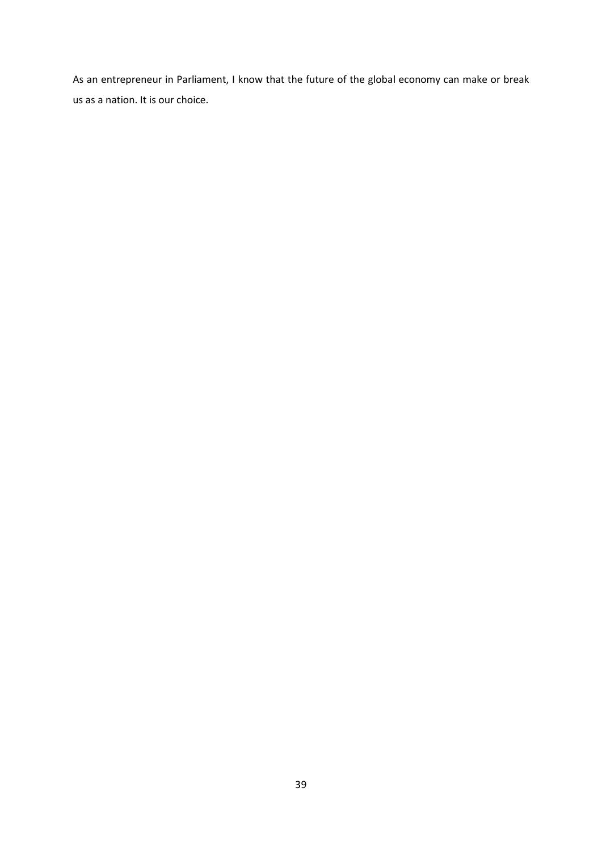As an entrepreneur in Parliament, I know that the future of the global economy can make or break us as a nation. It is our choice.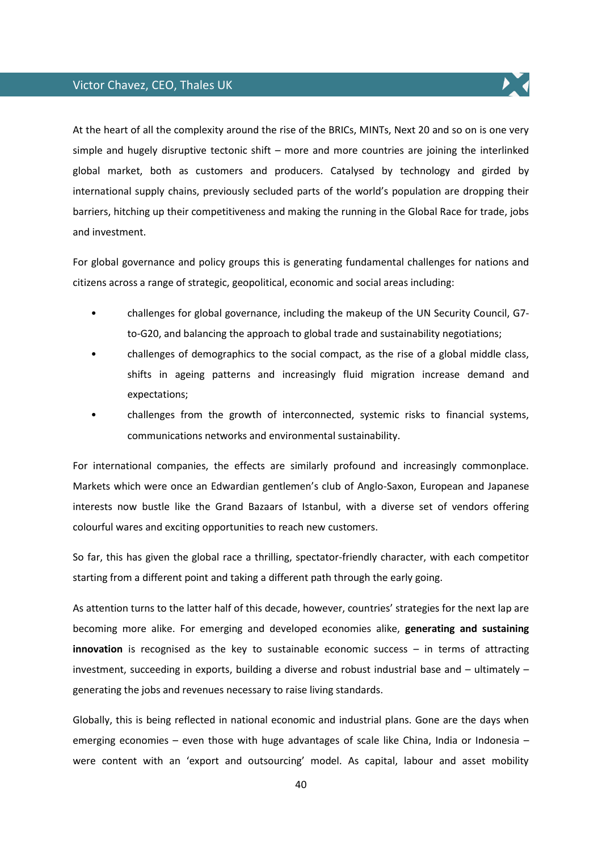# Victor Chavez, CEO, Thales UK



At the heart of all the complexity around the rise of the BRICs, MINTs, Next 20 and so on is one very simple and hugely disruptive tectonic shift – more and more countries are joining the interlinked global market, both as customers and producers. Catalysed by technology and girded by international supply chains, previously secluded parts of the world's population are dropping their barriers, hitching up their competitiveness and making the running in the Global Race for trade, jobs and investment.

For global governance and policy groups this is generating fundamental challenges for nations and citizens across a range of strategic, geopolitical, economic and social areas including:

- challenges for global governance, including the makeup of the UN Security Council, G7 to-G20, and balancing the approach to global trade and sustainability negotiations;
- challenges of demographics to the social compact, as the rise of a global middle class, shifts in ageing patterns and increasingly fluid migration increase demand and expectations;
- challenges from the growth of interconnected, systemic risks to financial systems, communications networks and environmental sustainability.

For international companies, the effects are similarly profound and increasingly commonplace. Markets which were once an Edwardian gentlemen's club of Anglo-Saxon, European and Japanese interests now bustle like the Grand Bazaars of Istanbul, with a diverse set of vendors offering colourful wares and exciting opportunities to reach new customers.

So far, this has given the global race a thrilling, spectator-friendly character, with each competitor starting from a different point and taking a different path through the early going.

As attention turns to the latter half of this decade, however, countries' strategies for the next lap are becoming more alike. For emerging and developed economies alike, **generating and sustaining innovation** is recognised as the key to sustainable economic success – in terms of attracting investment, succeeding in exports, building a diverse and robust industrial base and – ultimately – generating the jobs and revenues necessary to raise living standards.

Globally, this is being reflected in national economic and industrial plans. Gone are the days when emerging economies – even those with huge advantages of scale like China, India or Indonesia – were content with an 'export and outsourcing' model. As capital, labour and asset mobility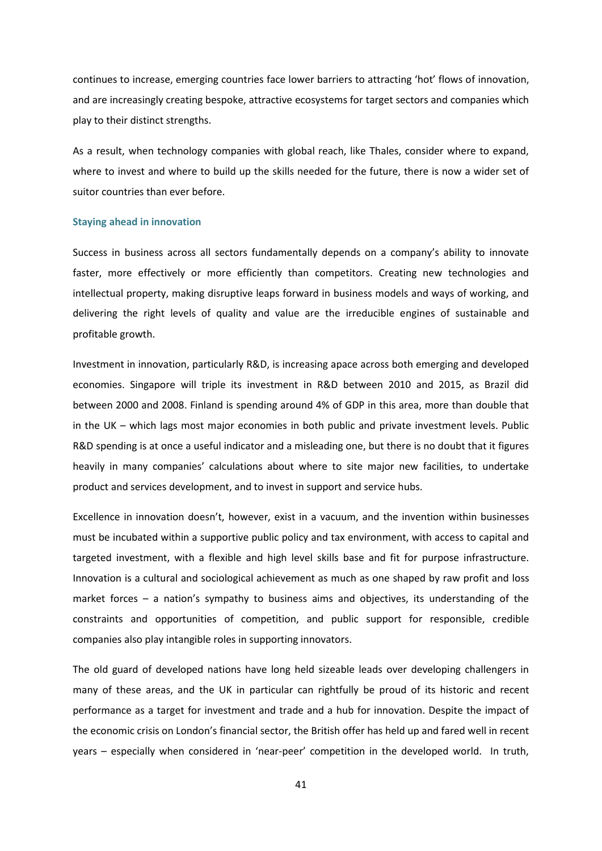continues to increase, emerging countries face lower barriers to attracting 'hot' flows of innovation, and are increasingly creating bespoke, attractive ecosystems for target sectors and companies which play to their distinct strengths.

As a result, when technology companies with global reach, like Thales, consider where to expand, where to invest and where to build up the skills needed for the future, there is now a wider set of suitor countries than ever before.

#### **Staying ahead in innovation**

Success in business across all sectors fundamentally depends on a company's ability to innovate faster, more effectively or more efficiently than competitors. Creating new technologies and intellectual property, making disruptive leaps forward in business models and ways of working, and delivering the right levels of quality and value are the irreducible engines of sustainable and profitable growth.

Investment in innovation, particularly R&D, is increasing apace across both emerging and developed economies. Singapore will triple its investment in R&D between 2010 and 2015, as Brazil did between 2000 and 2008. Finland is spending around 4% of GDP in this area, more than double that in the UK – which lags most major economies in both public and private investment levels. Public R&D spending is at once a useful indicator and a misleading one, but there is no doubt that it figures heavily in many companies' calculations about where to site major new facilities, to undertake product and services development, and to invest in support and service hubs.

Excellence in innovation doesn't, however, exist in a vacuum, and the invention within businesses must be incubated within a supportive public policy and tax environment, with access to capital and targeted investment, with a flexible and high level skills base and fit for purpose infrastructure. Innovation is a cultural and sociological achievement as much as one shaped by raw profit and loss market forces – a nation's sympathy to business aims and objectives, its understanding of the constraints and opportunities of competition, and public support for responsible, credible companies also play intangible roles in supporting innovators.

The old guard of developed nations have long held sizeable leads over developing challengers in many of these areas, and the UK in particular can rightfully be proud of its historic and recent performance as a target for investment and trade and a hub for innovation. Despite the impact of the economic crisis on London's financial sector, the British offer has held up and fared well in recent years – especially when considered in 'near-peer' competition in the developed world. In truth,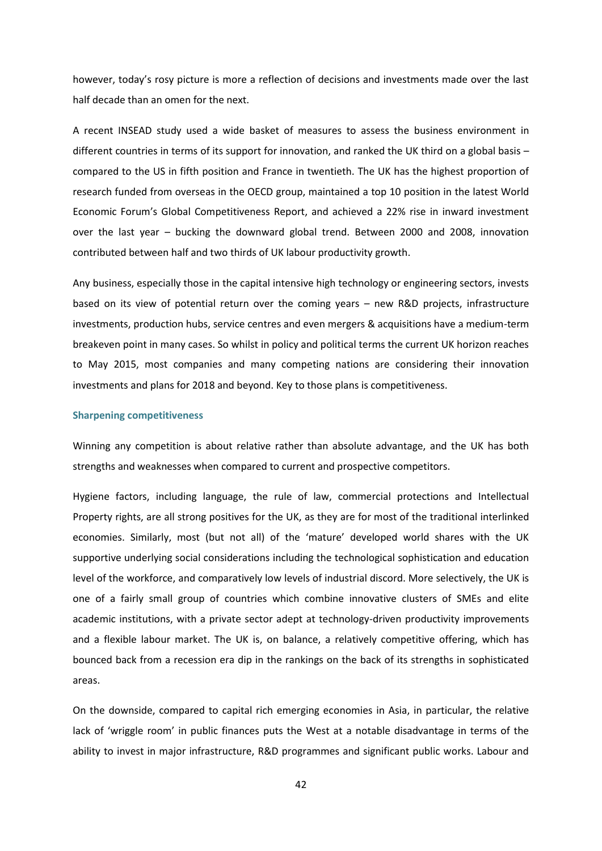however, today's rosy picture is more a reflection of decisions and investments made over the last half decade than an omen for the next.

A recent INSEAD study used a wide basket of measures to assess the business environment in different countries in terms of its support for innovation, and ranked the UK third on a global basis – compared to the US in fifth position and France in twentieth. The UK has the highest proportion of research funded from overseas in the OECD group, maintained a top 10 position in the latest World Economic Forum's Global Competitiveness Report, and achieved a 22% rise in inward investment over the last year – bucking the downward global trend. Between 2000 and 2008, innovation contributed between half and two thirds of UK labour productivity growth.

Any business, especially those in the capital intensive high technology or engineering sectors, invests based on its view of potential return over the coming years – new R&D projects, infrastructure investments, production hubs, service centres and even mergers & acquisitions have a medium-term breakeven point in many cases. So whilst in policy and political terms the current UK horizon reaches to May 2015, most companies and many competing nations are considering their innovation investments and plans for 2018 and beyond. Key to those plans is competitiveness.

### **Sharpening competitiveness**

Winning any competition is about relative rather than absolute advantage, and the UK has both strengths and weaknesses when compared to current and prospective competitors.

Hygiene factors, including language, the rule of law, commercial protections and Intellectual Property rights, are all strong positives for the UK, as they are for most of the traditional interlinked economies. Similarly, most (but not all) of the 'mature' developed world shares with the UK supportive underlying social considerations including the technological sophistication and education level of the workforce, and comparatively low levels of industrial discord. More selectively, the UK is one of a fairly small group of countries which combine innovative clusters of SMEs and elite academic institutions, with a private sector adept at technology-driven productivity improvements and a flexible labour market. The UK is, on balance, a relatively competitive offering, which has bounced back from a recession era dip in the rankings on the back of its strengths in sophisticated areas.

On the downside, compared to capital rich emerging economies in Asia, in particular, the relative lack of 'wriggle room' in public finances puts the West at a notable disadvantage in terms of the ability to invest in major infrastructure, R&D programmes and significant public works. Labour and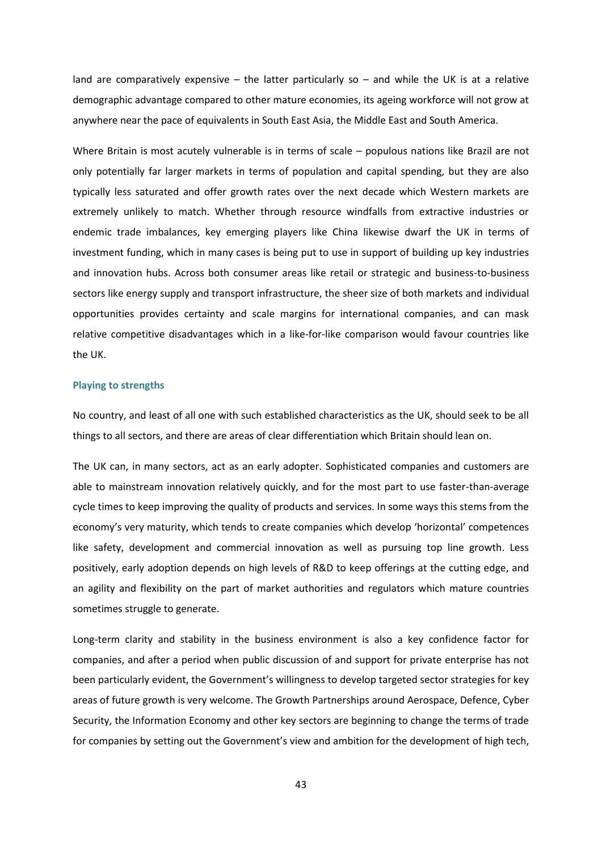land are comparatively expensive  $-$  the latter particularly so  $-$  and while the UK is at a relative demographic advantage compared to other mature economies, its ageing workforce will not grow at anywhere near the pace of equivalents in South East Asia, the Middle East and South America.

Where Britain is most acutely vulnerable is in terms of scale – populous nations like Brazil are not only potentially far larger markets in terms of population and capital spending, but they are also typically less saturated and offer growth rates over the next decade which Western markets are extremely unlikely to match. Whether through resource windfalls from extractive industries or endemic trade imbalances, key emerging players like China likewise dwarf the UK in terms of investment funding, which in many cases is being put to use in support of building up key industries and innovation hubs. Across both consumer areas like retail or strategic and business-to-business sectors like energy supply and transport infrastructure, the sheer size of both markets and individual opportunities provides certainty and scale margins for international companies, and can mask relative competitive disadvantages which in a like-for-like comparison would favour countries like the UK.

#### **Playing to strengths**

No country, and least of all one with such established characteristics as the UK, should seek to be all things to all sectors, and there are areas of clear differentiation which Britain should lean on.

The UK can, in many sectors, act as an early adopter. Sophisticated companies and customers are able to mainstream innovation relatively quickly, and for the most part to use faster-than-average cycle times to keep improving the quality of products and services. In some ways this stems from the economy's very maturity, which tends to create companies which develop 'horizontal' competences like safety, development and commercial innovation as well as pursuing top line growth. Less positively, early adoption depends on high levels of R&D to keep offerings at the cutting edge, and an agility and flexibility on the part of market authorities and regulators which mature countries sometimes struggle to generate.

Long-term clarity and stability in the business environment is also a key confidence factor for companies, and after a period when public discussion of and support for private enterprise has not been particularly evident, the Government's willingness to develop targeted sector strategies for key areas of future growth is very welcome. The Growth Partnerships around Aerospace, Defence, Cyber Security, the Information Economy and other key sectors are beginning to change the terms of trade for companies by setting out the Government's view and ambition for the development of high tech,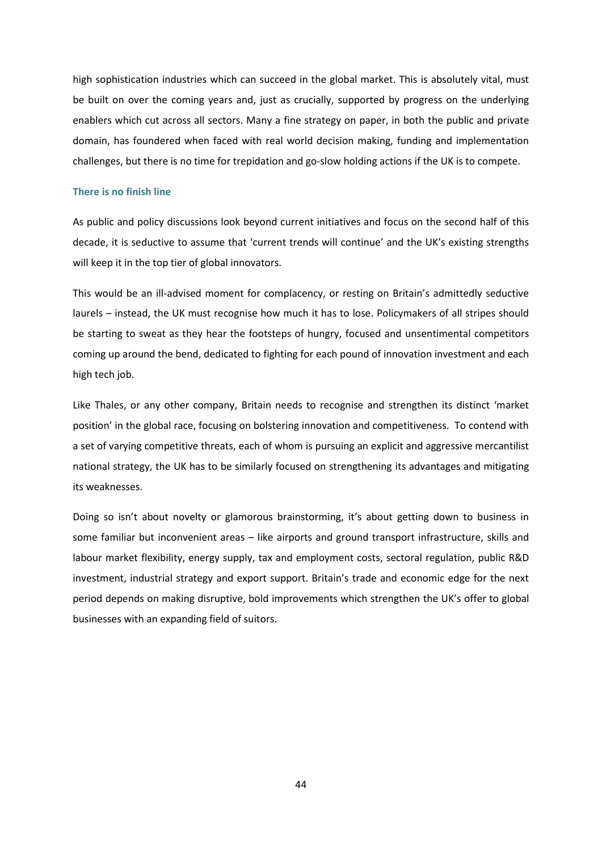high sophistication industries which can succeed in the global market. This is absolutely vital, must be built on over the coming years and, just as crucially, supported by progress on the underlying enablers which cut across all sectors. Many a fine strategy on paper, in both the public and private domain, has foundered when faced with real world decision making, funding and implementation challenges, but there is no time for trepidation and go-slow holding actions if the UK is to compete.

#### **There is no finish line**

As public and policy discussions look beyond current initiatives and focus on the second half of this decade, it is seductive to assume that 'current trends will continue' and the UK's existing strengths will keep it in the top tier of global innovators.

This would be an ill-advised moment for complacency, or resting on Britain's admittedly seductive laurels – instead, the UK must recognise how much it has to lose. Policymakers of all stripes should be starting to sweat as they hear the footsteps of hungry, focused and unsentimental competitors coming up around the bend, dedicated to fighting for each pound of innovation investment and each high tech job.

Like Thales, or any other company, Britain needs to recognise and strengthen its distinct 'market position' in the global race, focusing on bolstering innovation and competitiveness. To contend with a set of varying competitive threats, each of whom is pursuing an explicit and aggressive mercantilist national strategy, the UK has to be similarly focused on strengthening its advantages and mitigating its weaknesses.

Doing so isn't about novelty or glamorous brainstorming, it's about getting down to business in some familiar but inconvenient areas – like airports and ground transport infrastructure, skills and labour market flexibility, energy supply, tax and employment costs, sectoral regulation, public R&D investment, industrial strategy and export support. Britain's trade and economic edge for the next period depends on making disruptive, bold improvements which strengthen the UK's offer to global businesses with an expanding field of suitors.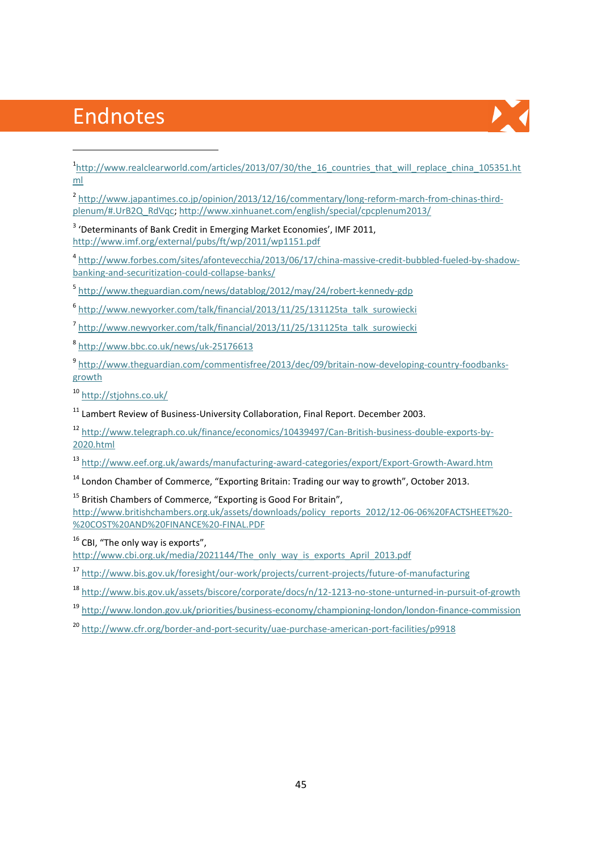# Endnotes

**.** 



<sup>1</sup>[http://www.realclearworld.com/articles/2013/07/30/the\\_16\\_countries\\_that\\_will\\_replace\\_china\\_105351.ht](http://www.realclearworld.com/articles/2013/07/30/the_16_countries_that_will_replace_china_105351.html) [ml](http://www.realclearworld.com/articles/2013/07/30/the_16_countries_that_will_replace_china_105351.html)

<sup>2</sup> [http://www.japantimes.co.jp/opinion/2013/12/16/commentary/long-reform-march-from-chinas-third](http://www.japantimes.co.jp/opinion/2013/12/16/commentary/long-reform-march-from-chinas-third-plenum/#.UrB2Q_RdVqc)[plenum/#.UrB2Q\\_RdVqc;](http://www.japantimes.co.jp/opinion/2013/12/16/commentary/long-reform-march-from-chinas-third-plenum/#.UrB2Q_RdVqc)<http://www.xinhuanet.com/english/special/cpcplenum2013/>

<sup>3</sup> 'Determinants of Bank Credit in Emerging Market Economies', IMF 2011, <http://www.imf.org/external/pubs/ft/wp/2011/wp1151.pdf>

4 [http://www.forbes.com/sites/afontevecchia/2013/06/17/china-massive-credit-bubbled-fueled-by-shadow](http://www.forbes.com/sites/afontevecchia/2013/06/17/china-massive-credit-bubbled-fueled-by-shadow-banking-and-securitization-could-collapse-banks/)[banking-and-securitization-could-collapse-banks/](http://www.forbes.com/sites/afontevecchia/2013/06/17/china-massive-credit-bubbled-fueled-by-shadow-banking-and-securitization-could-collapse-banks/)

5 <http://www.theguardian.com/news/datablog/2012/may/24/robert-kennedy-gdp>

6 [http://www.newyorker.com/talk/financial/2013/11/25/131125ta\\_talk\\_surowiecki](http://www.newyorker.com/talk/financial/2013/11/25/131125ta_talk_surowiecki)

7 [http://www.newyorker.com/talk/financial/2013/11/25/131125ta\\_talk\\_surowiecki](http://www.newyorker.com/talk/financial/2013/11/25/131125ta_talk_surowiecki)

8 <http://www.bbc.co.uk/news/uk-25176613>

9 [http://www.theguardian.com/commentisfree/2013/dec/09/britain-now-developing-country-foodbanks](http://www.theguardian.com/commentisfree/2013/dec/09/britain-now-developing-country-foodbanks-growth)[growth](http://www.theguardian.com/commentisfree/2013/dec/09/britain-now-developing-country-foodbanks-growth)

<sup>10</sup> <http://stjohns.co.uk/>

 $11$  Lambert Review of Business-University Collaboration, Final Report. December 2003.

<sup>12</sup> [http://www.telegraph.co.uk/finance/economics/10439497/Can-British-business-double-exports-by-](http://www.telegraph.co.uk/finance/economics/10439497/Can-British-business-double-exports-by-2020.html)[2020.html](http://www.telegraph.co.uk/finance/economics/10439497/Can-British-business-double-exports-by-2020.html)

<sup>13</sup> <http://www.eef.org.uk/awards/manufacturing-award-categories/export/Export-Growth-Award.htm>

 $14$  London Chamber of Commerce, "Exporting Britain: Trading our way to growth", October 2013.

<sup>15</sup> British Chambers of Commerce, "Exporting is Good For Britain",

[http://www.britishchambers.org.uk/assets/downloads/policy\\_reports\\_2012/12-06-06%20FACTSHEET%20-](http://www.britishchambers.org.uk/assets/downloads/policy_reports_2012/12-06-06%20FACTSHEET%20-%20COST%20AND%20FINANCE%20-FINAL.PDF) [%20COST%20AND%20FINANCE%20-FINAL.PDF](http://www.britishchambers.org.uk/assets/downloads/policy_reports_2012/12-06-06%20FACTSHEET%20-%20COST%20AND%20FINANCE%20-FINAL.PDF)

 $16$  CBI, "The only way is exports",

[http://www.cbi.org.uk/media/2021144/The\\_only\\_way\\_is\\_exports\\_April\\_2013.pdf](http://www.cbi.org.uk/media/2021144/The_only_way_is_exports_April_2013.pdf)

<sup>17</sup> <http://www.bis.gov.uk/foresight/our-work/projects/current-projects/future-of-manufacturing>

<sup>18</sup> <http://www.bis.gov.uk/assets/biscore/corporate/docs/n/12-1213-no-stone-unturned-in-pursuit-of-growth>

<sup>19</sup> <http://www.london.gov.uk/priorities/business-economy/championing-london/london-finance-commission>

<sup>20</sup> <http://www.cfr.org/border-and-port-security/uae-purchase-american-port-facilities/p9918>